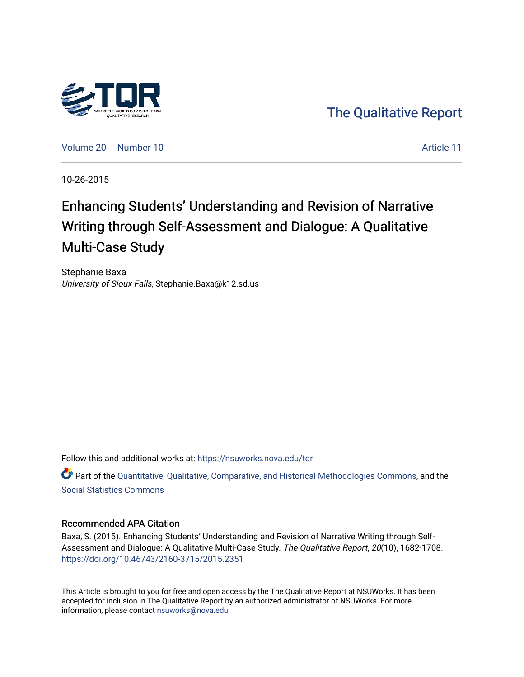

[The Qualitative Report](https://nsuworks.nova.edu/tqr) 

[Volume 20](https://nsuworks.nova.edu/tqr/vol20) [Number 10](https://nsuworks.nova.edu/tqr/vol20/iss10) Article 11

10-26-2015

# Enhancing Students' Understanding and Revision of Narrative Writing through Self-Assessment and Dialogue: A Qualitative Multi-Case Study

Stephanie Baxa University of Sioux Falls, Stephanie.Baxa@k12.sd.us

Follow this and additional works at: [https://nsuworks.nova.edu/tqr](https://nsuworks.nova.edu/tqr?utm_source=nsuworks.nova.edu%2Ftqr%2Fvol20%2Fiss10%2F11&utm_medium=PDF&utm_campaign=PDFCoverPages) 

Part of the [Quantitative, Qualitative, Comparative, and Historical Methodologies Commons,](http://network.bepress.com/hgg/discipline/423?utm_source=nsuworks.nova.edu%2Ftqr%2Fvol20%2Fiss10%2F11&utm_medium=PDF&utm_campaign=PDFCoverPages) and the [Social Statistics Commons](http://network.bepress.com/hgg/discipline/1275?utm_source=nsuworks.nova.edu%2Ftqr%2Fvol20%2Fiss10%2F11&utm_medium=PDF&utm_campaign=PDFCoverPages) 

#### Recommended APA Citation

Baxa, S. (2015). Enhancing Students' Understanding and Revision of Narrative Writing through Self-Assessment and Dialogue: A Qualitative Multi-Case Study. The Qualitative Report, 20(10), 1682-1708. <https://doi.org/10.46743/2160-3715/2015.2351>

This Article is brought to you for free and open access by the The Qualitative Report at NSUWorks. It has been accepted for inclusion in The Qualitative Report by an authorized administrator of NSUWorks. For more information, please contact [nsuworks@nova.edu.](mailto:nsuworks@nova.edu)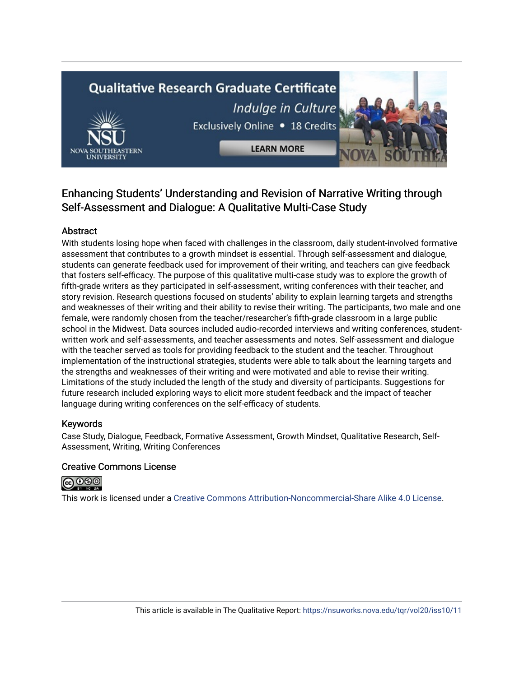# **Qualitative Research Graduate Certificate** Indulge in Culture Exclusively Online . 18 Credits

**LEARN MORE** 

# Enhancing Students' Understanding and Revision of Narrative Writing through Self-Assessment and Dialogue: A Qualitative Multi-Case Study

# Abstract

With students losing hope when faced with challenges in the classroom, daily student-involved formative assessment that contributes to a growth mindset is essential. Through self-assessment and dialogue, students can generate feedback used for improvement of their writing, and teachers can give feedback that fosters self-efficacy. The purpose of this qualitative multi-case study was to explore the growth of fifth-grade writers as they participated in self-assessment, writing conferences with their teacher, and story revision. Research questions focused on students' ability to explain learning targets and strengths and weaknesses of their writing and their ability to revise their writing. The participants, two male and one female, were randomly chosen from the teacher/researcher's fifth-grade classroom in a large public school in the Midwest. Data sources included audio-recorded interviews and writing conferences, studentwritten work and self-assessments, and teacher assessments and notes. Self-assessment and dialogue with the teacher served as tools for providing feedback to the student and the teacher. Throughout implementation of the instructional strategies, students were able to talk about the learning targets and the strengths and weaknesses of their writing and were motivated and able to revise their writing. Limitations of the study included the length of the study and diversity of participants. Suggestions for future research included exploring ways to elicit more student feedback and the impact of teacher language during writing conferences on the self-efficacy of students.

### Keywords

Case Study, Dialogue, Feedback, Formative Assessment, Growth Mindset, Qualitative Research, Self-Assessment, Writing, Writing Conferences

### Creative Commons License



This work is licensed under a [Creative Commons Attribution-Noncommercial-Share Alike 4.0 License](https://creativecommons.org/licenses/by-nc-sa/4.0/).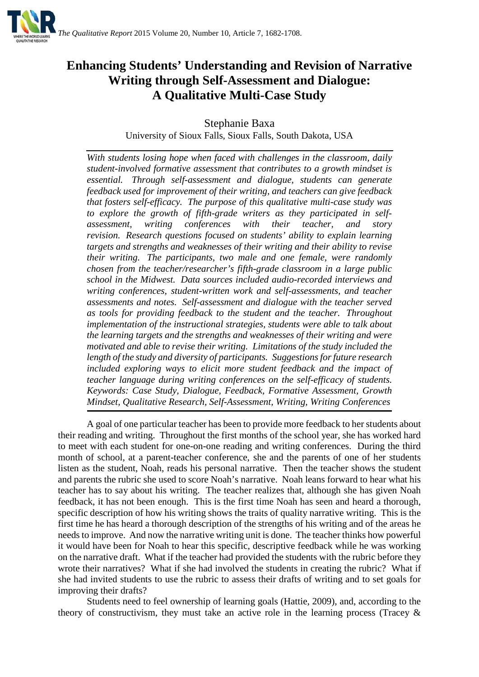

# **Enhancing Students' Understanding and Revision of Narrative Writing through Self-Assessment and Dialogue: A Qualitative Multi-Case Study**

Stephanie Baxa

University of Sioux Falls, Sioux Falls, South Dakota, USA

*With students losing hope when faced with challenges in the classroom, daily student-involved formative assessment that contributes to a growth mindset is essential. Through self-assessment and dialogue, students can generate feedback used for improvement of their writing, and teachers can give feedback that fosters self-efficacy. The purpose of this qualitative multi-case study was to explore the growth of fifth-grade writers as they participated in selfassessment, writing conferences with their teacher, and story revision. Research questions focused on students' ability to explain learning targets and strengths and weaknesses of their writing and their ability to revise their writing. The participants, two male and one female, were randomly chosen from the teacher/researcher's fifth-grade classroom in a large public school in the Midwest. Data sources included audio-recorded interviews and writing conferences, student-written work and self-assessments, and teacher assessments and notes. Self-assessment and dialogue with the teacher served as tools for providing feedback to the student and the teacher. Throughout implementation of the instructional strategies, students were able to talk about the learning targets and the strengths and weaknesses of their writing and were motivated and able to revise their writing. Limitations of the study included the length of the study and diversity of participants. Suggestions for future research included exploring ways to elicit more student feedback and the impact of teacher language during writing conferences on the self-efficacy of students. Keywords: Case Study, Dialogue, Feedback, Formative Assessment, Growth Mindset, Qualitative Research, Self-Assessment, Writing, Writing Conferences*

A goal of one particular teacher has been to provide more feedback to her students about their reading and writing. Throughout the first months of the school year, she has worked hard to meet with each student for one-on-one reading and writing conferences. During the third month of school, at a parent-teacher conference, she and the parents of one of her students listen as the student, Noah, reads his personal narrative. Then the teacher shows the student and parents the rubric she used to score Noah's narrative. Noah leans forward to hear what his teacher has to say about his writing. The teacher realizes that, although she has given Noah feedback, it has not been enough. This is the first time Noah has seen and heard a thorough, specific description of how his writing shows the traits of quality narrative writing. This is the first time he has heard a thorough description of the strengths of his writing and of the areas he needs to improve. And now the narrative writing unit is done. The teacher thinks how powerful it would have been for Noah to hear this specific, descriptive feedback while he was working on the narrative draft. What if the teacher had provided the students with the rubric before they wrote their narratives? What if she had involved the students in creating the rubric? What if she had invited students to use the rubric to assess their drafts of writing and to set goals for improving their drafts?

Students need to feel ownership of learning goals (Hattie, 2009), and, according to the theory of constructivism, they must take an active role in the learning process (Tracey  $\&$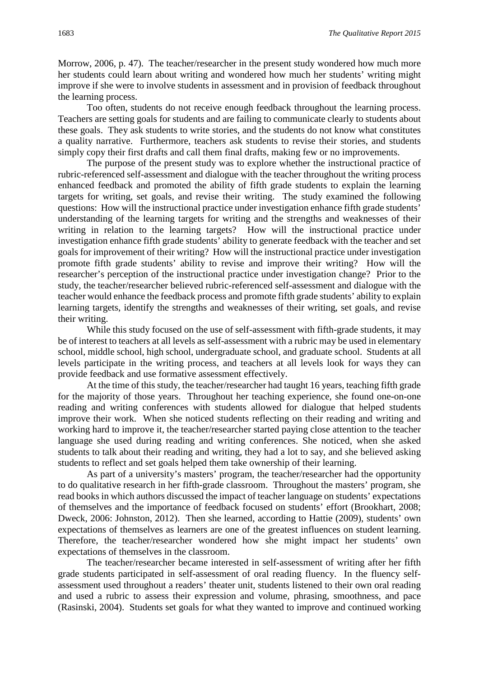Morrow, 2006, p. 47). The teacher/researcher in the present study wondered how much more her students could learn about writing and wondered how much her students' writing might improve if she were to involve students in assessment and in provision of feedback throughout the learning process.

Too often, students do not receive enough feedback throughout the learning process. Teachers are setting goals for students and are failing to communicate clearly to students about these goals. They ask students to write stories, and the students do not know what constitutes a quality narrative. Furthermore, teachers ask students to revise their stories, and students simply copy their first drafts and call them final drafts, making few or no improvements.

The purpose of the present study was to explore whether the instructional practice of rubric-referenced self-assessment and dialogue with the teacher throughout the writing process enhanced feedback and promoted the ability of fifth grade students to explain the learning targets for writing, set goals, and revise their writing. The study examined the following questions: How will the instructional practice under investigation enhance fifth grade students' understanding of the learning targets for writing and the strengths and weaknesses of their writing in relation to the learning targets? How will the instructional practice under investigation enhance fifth grade students' ability to generate feedback with the teacher and set goals for improvement of their writing? How will the instructional practice under investigation promote fifth grade students' ability to revise and improve their writing? How will the researcher's perception of the instructional practice under investigation change? Prior to the study, the teacher/researcher believed rubric-referenced self-assessment and dialogue with the teacher would enhance the feedback process and promote fifth grade students' ability to explain learning targets, identify the strengths and weaknesses of their writing, set goals, and revise their writing.

While this study focused on the use of self-assessment with fifth-grade students, it may be of interest to teachers at all levels as self-assessment with a rubric may be used in elementary school, middle school, high school, undergraduate school, and graduate school. Students at all levels participate in the writing process, and teachers at all levels look for ways they can provide feedback and use formative assessment effectively.

At the time of this study, the teacher/researcher had taught 16 years, teaching fifth grade for the majority of those years. Throughout her teaching experience, she found one-on-one reading and writing conferences with students allowed for dialogue that helped students improve their work. When she noticed students reflecting on their reading and writing and working hard to improve it, the teacher/researcher started paying close attention to the teacher language she used during reading and writing conferences. She noticed, when she asked students to talk about their reading and writing, they had a lot to say, and she believed asking students to reflect and set goals helped them take ownership of their learning.

As part of a university's masters' program, the teacher/researcher had the opportunity to do qualitative research in her fifth-grade classroom. Throughout the masters' program, she read books in which authors discussed the impact of teacher language on students' expectations of themselves and the importance of feedback focused on students' effort (Brookhart, 2008; Dweck, 2006: Johnston, 2012). Then she learned, according to Hattie (2009), students' own expectations of themselves as learners are one of the greatest influences on student learning. Therefore, the teacher/researcher wondered how she might impact her students' own expectations of themselves in the classroom.

The teacher/researcher became interested in self-assessment of writing after her fifth grade students participated in self-assessment of oral reading fluency. In the fluency selfassessment used throughout a readers' theater unit, students listened to their own oral reading and used a rubric to assess their expression and volume, phrasing, smoothness, and pace (Rasinski, 2004). Students set goals for what they wanted to improve and continued working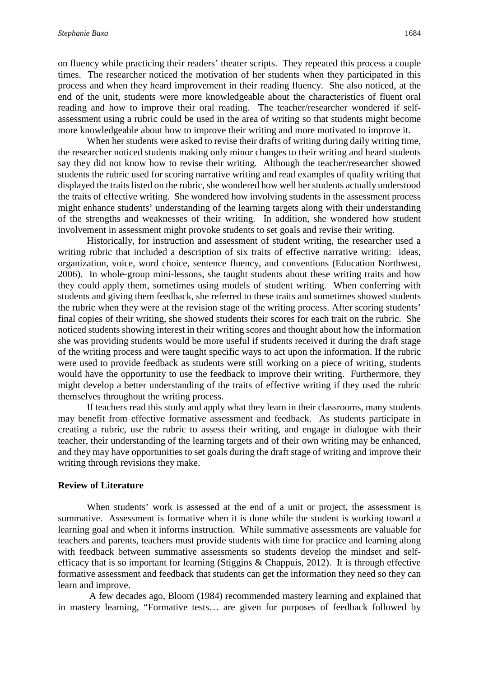on fluency while practicing their readers' theater scripts. They repeated this process a couple times. The researcher noticed the motivation of her students when they participated in this process and when they heard improvement in their reading fluency. She also noticed, at the end of the unit, students were more knowledgeable about the characteristics of fluent oral reading and how to improve their oral reading. The teacher/researcher wondered if selfassessment using a rubric could be used in the area of writing so that students might become more knowledgeable about how to improve their writing and more motivated to improve it.

When her students were asked to revise their drafts of writing during daily writing time, the researcher noticed students making only minor changes to their writing and heard students say they did not know how to revise their writing. Although the teacher/researcher showed students the rubric used for scoring narrative writing and read examples of quality writing that displayed the traits listed on the rubric, she wondered how well her students actually understood the traits of effective writing. She wondered how involving students in the assessment process might enhance students' understanding of the learning targets along with their understanding of the strengths and weaknesses of their writing. In addition, she wondered how student involvement in assessment might provoke students to set goals and revise their writing.

Historically, for instruction and assessment of student writing, the researcher used a writing rubric that included a description of six traits of effective narrative writing: ideas, organization, voice, word choice, sentence fluency, and conventions (Education Northwest, 2006). In whole-group mini-lessons, she taught students about these writing traits and how they could apply them, sometimes using models of student writing. When conferring with students and giving them feedback, she referred to these traits and sometimes showed students the rubric when they were at the revision stage of the writing process. After scoring students' final copies of their writing, she showed students their scores for each trait on the rubric. She noticed students showing interest in their writing scores and thought about how the information she was providing students would be more useful if students received it during the draft stage of the writing process and were taught specific ways to act upon the information. If the rubric were used to provide feedback as students were still working on a piece of writing, students would have the opportunity to use the feedback to improve their writing. Furthermore, they might develop a better understanding of the traits of effective writing if they used the rubric themselves throughout the writing process.

If teachers read this study and apply what they learn in their classrooms, many students may benefit from effective formative assessment and feedback. As students participate in creating a rubric, use the rubric to assess their writing, and engage in dialogue with their teacher, their understanding of the learning targets and of their own writing may be enhanced, and they may have opportunities to set goals during the draft stage of writing and improve their writing through revisions they make.

#### **Review of Literature**

When students' work is assessed at the end of a unit or project, the assessment is summative. Assessment is formative when it is done while the student is working toward a learning goal and when it informs instruction. While summative assessments are valuable for teachers and parents, teachers must provide students with time for practice and learning along with feedback between summative assessments so students develop the mindset and selfefficacy that is so important for learning (Stiggins & Chappuis, 2012). It is through effective formative assessment and feedback that students can get the information they need so they can learn and improve.

A few decades ago, Bloom (1984) recommended mastery learning and explained that in mastery learning, "Formative tests… are given for purposes of feedback followed by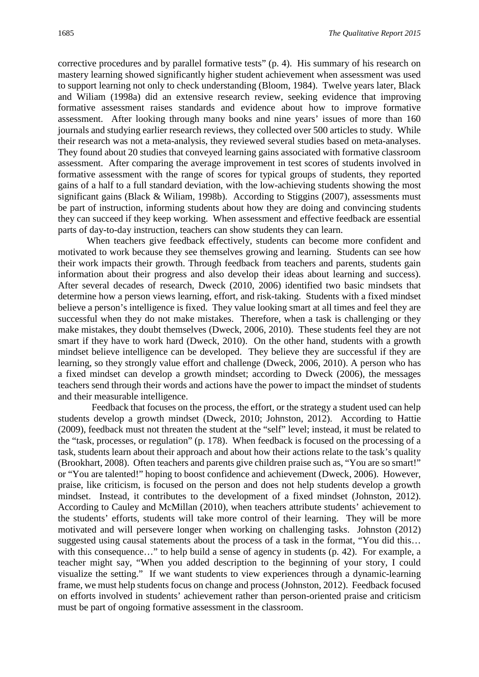corrective procedures and by parallel formative tests" (p. 4). His summary of his research on mastery learning showed significantly higher student achievement when assessment was used to support learning not only to check understanding (Bloom, 1984). Twelve years later, Black and Wiliam (1998a) did an extensive research review, seeking evidence that improving formative assessment raises standards and evidence about how to improve formative assessment. After looking through many books and nine years' issues of more than 160 journals and studying earlier research reviews, they collected over 500 articles to study. While their research was not a meta-analysis, they reviewed several studies based on meta-analyses. They found about 20 studies that conveyed learning gains associated with formative classroom assessment. After comparing the average improvement in test scores of students involved in formative assessment with the range of scores for typical groups of students, they reported gains of a half to a full standard deviation, with the low-achieving students showing the most significant gains (Black & Wiliam, 1998b). According to Stiggins (2007), assessments must be part of instruction, informing students about how they are doing and convincing students they can succeed if they keep working. When assessment and effective feedback are essential parts of day-to-day instruction, teachers can show students they can learn.

When teachers give feedback effectively, students can become more confident and motivated to work because they see themselves growing and learning. Students can see how their work impacts their growth. Through feedback from teachers and parents, students gain information about their progress and also develop their ideas about learning and success). After several decades of research, Dweck (2010, 2006) identified two basic mindsets that determine how a person views learning, effort, and risk-taking. Students with a fixed mindset believe a person's intelligence is fixed. They value looking smart at all times and feel they are successful when they do not make mistakes. Therefore, when a task is challenging or they make mistakes, they doubt themselves (Dweck, 2006, 2010). These students feel they are not smart if they have to work hard (Dweck, 2010). On the other hand, students with a growth mindset believe intelligence can be developed. They believe they are successful if they are learning, so they strongly value effort and challenge (Dweck, 2006, 2010). A person who has a fixed mindset can develop a growth mindset; according to Dweck (2006), the messages teachers send through their words and actions have the power to impact the mindset of students and their measurable intelligence.

 Feedback that focuses on the process, the effort, or the strategy a student used can help students develop a growth mindset (Dweck, 2010; Johnston, 2012). According to Hattie (2009), feedback must not threaten the student at the "self" level; instead, it must be related to the "task, processes, or regulation" (p. 178). When feedback is focused on the processing of a task, students learn about their approach and about how their actions relate to the task's quality (Brookhart, 2008). Often teachers and parents give children praise such as, "You are so smart!" or "You are talented!" hoping to boost confidence and achievement (Dweck, 2006). However, praise, like criticism, is focused on the person and does not help students develop a growth mindset. Instead, it contributes to the development of a fixed mindset (Johnston, 2012). According to Cauley and McMillan (2010), when teachers attribute students' achievement to the students' efforts, students will take more control of their learning. They will be more motivated and will persevere longer when working on challenging tasks. Johnston (2012) suggested using causal statements about the process of a task in the format, "You did this... with this consequence..." to help build a sense of agency in students (p. 42). For example, a teacher might say, "When you added description to the beginning of your story, I could visualize the setting." If we want students to view experiences through a dynamic-learning frame, we must help students focus on change and process (Johnston, 2012). Feedback focused on efforts involved in students' achievement rather than person-oriented praise and criticism must be part of ongoing formative assessment in the classroom.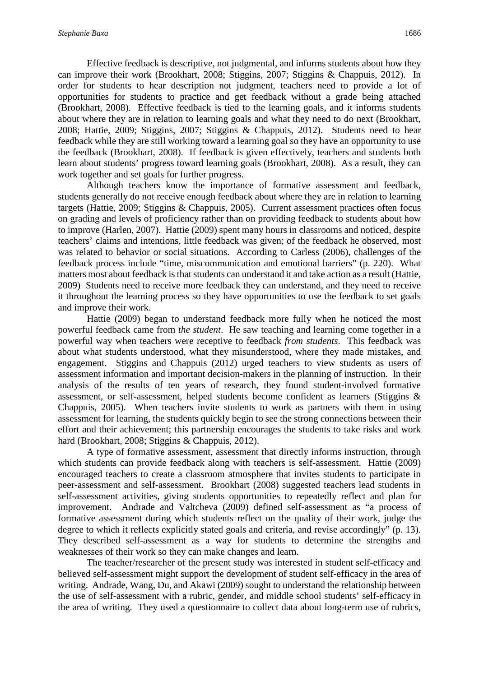Effective feedback is descriptive, not judgmental, and informs students about how they can improve their work (Brookhart, 2008; Stiggins, 2007; Stiggins & Chappuis, 2012). In order for students to hear description not judgment, teachers need to provide a lot of opportunities for students to practice and get feedback without a grade being attached (Brookhart, 2008). Effective feedback is tied to the learning goals, and it informs students about where they are in relation to learning goals and what they need to do next (Brookhart, 2008; Hattie, 2009; Stiggins, 2007; Stiggins & Chappuis, 2012). Students need to hear feedback while they are still working toward a learning goal so they have an opportunity to use the feedback (Brookhart, 2008). If feedback is given effectively, teachers and students both learn about students' progress toward learning goals (Brookhart, 2008). As a result, they can work together and set goals for further progress.

Although teachers know the importance of formative assessment and feedback, students generally do not receive enough feedback about where they are in relation to learning targets (Hattie, 2009; Stiggins & Chappuis, 2005). Current assessment practices often focus on grading and levels of proficiency rather than on providing feedback to students about how to improve (Harlen, 2007). Hattie (2009) spent many hours in classrooms and noticed, despite teachers' claims and intentions, little feedback was given; of the feedback he observed, most was related to behavior or social situations. According to Carless (2006), challenges of the feedback process include "time, miscommunication and emotional barriers" (p. 220). What matters most about feedback is that students can understand it and take action as a result (Hattie, 2009) Students need to receive more feedback they can understand, and they need to receive it throughout the learning process so they have opportunities to use the feedback to set goals and improve their work.

Hattie (2009) began to understand feedback more fully when he noticed the most powerful feedback came from *the student*. He saw teaching and learning come together in a powerful way when teachers were receptive to feedback *from students*. This feedback was about what students understood, what they misunderstood, where they made mistakes, and engagement. Stiggins and Chappuis (2012) urged teachers to view students as users of assessment information and important decision-makers in the planning of instruction. In their analysis of the results of ten years of research, they found student-involved formative assessment, or self-assessment, helped students become confident as learners (Stiggins & Chappuis, 2005). When teachers invite students to work as partners with them in using assessment for learning, the students quickly begin to see the strong connections between their effort and their achievement; this partnership encourages the students to take risks and work hard (Brookhart, 2008; Stiggins & Chappuis, 2012).

A type of formative assessment, assessment that directly informs instruction, through which students can provide feedback along with teachers is self-assessment. Hattie (2009) encouraged teachers to create a classroom atmosphere that invites students to participate in peer-assessment and self-assessment. Brookhart (2008) suggested teachers lead students in self-assessment activities, giving students opportunities to repeatedly reflect and plan for improvement. Andrade and Valtcheva (2009) defined self-assessment as "a process of formative assessment during which students reflect on the quality of their work, judge the degree to which it reflects explicitly stated goals and criteria, and revise accordingly" (p. 13). They described self-assessment as a way for students to determine the strengths and weaknesses of their work so they can make changes and learn.

The teacher/researcher of the present study was interested in student self-efficacy and believed self-assessment might support the development of student self-efficacy in the area of writing. Andrade, Wang, Du, and Akawi (2009) sought to understand the relationship between the use of self-assessment with a rubric, gender, and middle school students' self-efficacy in the area of writing. They used a questionnaire to collect data about long-term use of rubrics,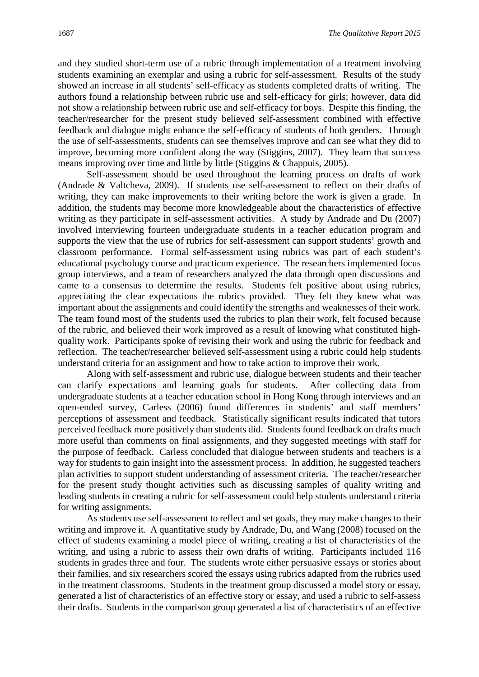and they studied short-term use of a rubric through implementation of a treatment involving students examining an exemplar and using a rubric for self-assessment. Results of the study showed an increase in all students' self-efficacy as students completed drafts of writing. The authors found a relationship between rubric use and self-efficacy for girls; however, data did not show a relationship between rubric use and self-efficacy for boys. Despite this finding, the teacher/researcher for the present study believed self-assessment combined with effective feedback and dialogue might enhance the self-efficacy of students of both genders. Through the use of self-assessments, students can see themselves improve and can see what they did to improve, becoming more confident along the way (Stiggins, 2007). They learn that success means improving over time and little by little (Stiggins & Chappuis, 2005).

Self-assessment should be used throughout the learning process on drafts of work (Andrade & Valtcheva, 2009). If students use self-assessment to reflect on their drafts of writing, they can make improvements to their writing before the work is given a grade. In addition, the students may become more knowledgeable about the characteristics of effective writing as they participate in self-assessment activities. A study by Andrade and Du (2007) involved interviewing fourteen undergraduate students in a teacher education program and supports the view that the use of rubrics for self-assessment can support students' growth and classroom performance. Formal self-assessment using rubrics was part of each student's educational psychology course and practicum experience. The researchers implemented focus group interviews, and a team of researchers analyzed the data through open discussions and came to a consensus to determine the results. Students felt positive about using rubrics, appreciating the clear expectations the rubrics provided. They felt they knew what was important about the assignments and could identify the strengths and weaknesses of their work. The team found most of the students used the rubrics to plan their work, felt focused because of the rubric, and believed their work improved as a result of knowing what constituted highquality work. Participants spoke of revising their work and using the rubric for feedback and reflection. The teacher/researcher believed self-assessment using a rubric could help students understand criteria for an assignment and how to take action to improve their work.

Along with self-assessment and rubric use, dialogue between students and their teacher can clarify expectations and learning goals for students. After collecting data from undergraduate students at a teacher education school in Hong Kong through interviews and an open-ended survey, Carless (2006) found differences in students' and staff members' perceptions of assessment and feedback. Statistically significant results indicated that tutors perceived feedback more positively than students did. Students found feedback on drafts much more useful than comments on final assignments, and they suggested meetings with staff for the purpose of feedback. Carless concluded that dialogue between students and teachers is a way for students to gain insight into the assessment process. In addition, he suggested teachers plan activities to support student understanding of assessment criteria. The teacher/researcher for the present study thought activities such as discussing samples of quality writing and leading students in creating a rubric for self-assessment could help students understand criteria for writing assignments.

As students use self-assessment to reflect and set goals, they may make changes to their writing and improve it. A quantitative study by Andrade, Du, and Wang (2008) focused on the effect of students examining a model piece of writing, creating a list of characteristics of the writing, and using a rubric to assess their own drafts of writing. Participants included 116 students in grades three and four. The students wrote either persuasive essays or stories about their families, and six researchers scored the essays using rubrics adapted from the rubrics used in the treatment classrooms. Students in the treatment group discussed a model story or essay, generated a list of characteristics of an effective story or essay, and used a rubric to self-assess their drafts. Students in the comparison group generated a list of characteristics of an effective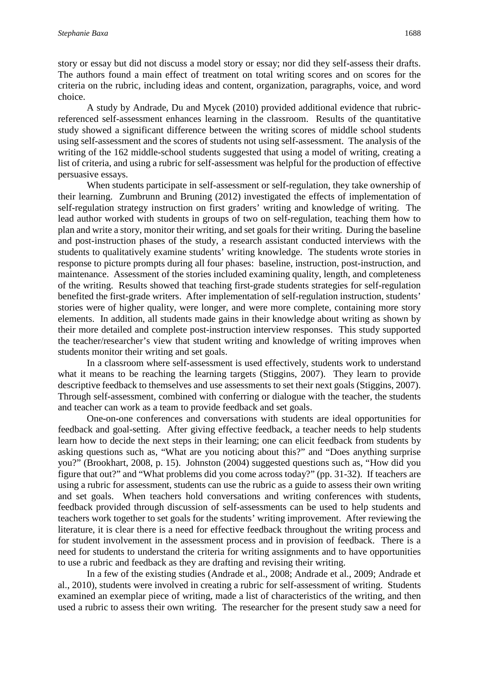story or essay but did not discuss a model story or essay; nor did they self-assess their drafts. The authors found a main effect of treatment on total writing scores and on scores for the criteria on the rubric, including ideas and content, organization, paragraphs, voice, and word choice.

A study by Andrade, Du and Mycek (2010) provided additional evidence that rubricreferenced self-assessment enhances learning in the classroom. Results of the quantitative study showed a significant difference between the writing scores of middle school students using self-assessment and the scores of students not using self-assessment. The analysis of the writing of the 162 middle-school students suggested that using a model of writing, creating a list of criteria, and using a rubric for self-assessment was helpful for the production of effective persuasive essays.

When students participate in self-assessment or self-regulation, they take ownership of their learning. Zumbrunn and Bruning (2012) investigated the effects of implementation of self-regulation strategy instruction on first graders' writing and knowledge of writing. The lead author worked with students in groups of two on self-regulation, teaching them how to plan and write a story, monitor their writing, and set goals for their writing. During the baseline and post-instruction phases of the study, a research assistant conducted interviews with the students to qualitatively examine students' writing knowledge. The students wrote stories in response to picture prompts during all four phases: baseline, instruction, post-instruction, and maintenance. Assessment of the stories included examining quality, length, and completeness of the writing. Results showed that teaching first-grade students strategies for self-regulation benefited the first-grade writers. After implementation of self-regulation instruction, students' stories were of higher quality, were longer, and were more complete, containing more story elements. In addition, all students made gains in their knowledge about writing as shown by their more detailed and complete post-instruction interview responses. This study supported the teacher/researcher's view that student writing and knowledge of writing improves when students monitor their writing and set goals.

In a classroom where self-assessment is used effectively, students work to understand what it means to be reaching the learning targets (Stiggins, 2007). They learn to provide descriptive feedback to themselves and use assessments to set their next goals (Stiggins, 2007). Through self-assessment, combined with conferring or dialogue with the teacher, the students and teacher can work as a team to provide feedback and set goals.

One-on-one conferences and conversations with students are ideal opportunities for feedback and goal-setting. After giving effective feedback, a teacher needs to help students learn how to decide the next steps in their learning; one can elicit feedback from students by asking questions such as, "What are you noticing about this?" and "Does anything surprise you?" (Brookhart, 2008, p. 15). Johnston (2004) suggested questions such as, "How did you figure that out?" and "What problems did you come across today?" (pp. 31-32). If teachers are using a rubric for assessment, students can use the rubric as a guide to assess their own writing and set goals. When teachers hold conversations and writing conferences with students, feedback provided through discussion of self-assessments can be used to help students and teachers work together to set goals for the students' writing improvement. After reviewing the literature, it is clear there is a need for effective feedback throughout the writing process and for student involvement in the assessment process and in provision of feedback. There is a need for students to understand the criteria for writing assignments and to have opportunities to use a rubric and feedback as they are drafting and revising their writing.

In a few of the existing studies (Andrade et al., 2008; Andrade et al., 2009; Andrade et al., 2010), students were involved in creating a rubric for self-assessment of writing. Students examined an exemplar piece of writing, made a list of characteristics of the writing, and then used a rubric to assess their own writing. The researcher for the present study saw a need for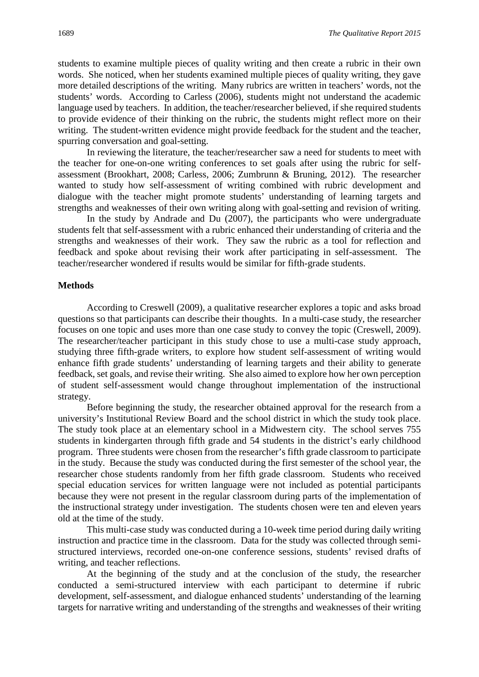students to examine multiple pieces of quality writing and then create a rubric in their own words. She noticed, when her students examined multiple pieces of quality writing, they gave more detailed descriptions of the writing. Many rubrics are written in teachers' words, not the students' words. According to Carless (2006), students might not understand the academic language used by teachers. In addition, the teacher/researcher believed, if she required students to provide evidence of their thinking on the rubric, the students might reflect more on their writing. The student-written evidence might provide feedback for the student and the teacher, spurring conversation and goal-setting.

In reviewing the literature, the teacher/researcher saw a need for students to meet with the teacher for one-on-one writing conferences to set goals after using the rubric for selfassessment (Brookhart, 2008; Carless, 2006; Zumbrunn & Bruning, 2012). The researcher wanted to study how self-assessment of writing combined with rubric development and dialogue with the teacher might promote students' understanding of learning targets and strengths and weaknesses of their own writing along with goal-setting and revision of writing.

In the study by Andrade and Du (2007), the participants who were undergraduate students felt that self-assessment with a rubric enhanced their understanding of criteria and the strengths and weaknesses of their work. They saw the rubric as a tool for reflection and feedback and spoke about revising their work after participating in self-assessment. The teacher/researcher wondered if results would be similar for fifth-grade students.

#### **Methods**

According to Creswell (2009), a qualitative researcher explores a topic and asks broad questions so that participants can describe their thoughts. In a multi-case study, the researcher focuses on one topic and uses more than one case study to convey the topic (Creswell, 2009). The researcher/teacher participant in this study chose to use a multi-case study approach, studying three fifth-grade writers, to explore how student self-assessment of writing would enhance fifth grade students' understanding of learning targets and their ability to generate feedback, set goals, and revise their writing. She also aimed to explore how her own perception of student self-assessment would change throughout implementation of the instructional strategy.

Before beginning the study, the researcher obtained approval for the research from a university's Institutional Review Board and the school district in which the study took place. The study took place at an elementary school in a Midwestern city. The school serves 755 students in kindergarten through fifth grade and 54 students in the district's early childhood program. Three students were chosen from the researcher's fifth grade classroom to participate in the study. Because the study was conducted during the first semester of the school year, the researcher chose students randomly from her fifth grade classroom. Students who received special education services for written language were not included as potential participants because they were not present in the regular classroom during parts of the implementation of the instructional strategy under investigation. The students chosen were ten and eleven years old at the time of the study.

This multi-case study was conducted during a 10-week time period during daily writing instruction and practice time in the classroom. Data for the study was collected through semistructured interviews, recorded one-on-one conference sessions, students' revised drafts of writing, and teacher reflections.

At the beginning of the study and at the conclusion of the study, the researcher conducted a semi-structured interview with each participant to determine if rubric development, self-assessment, and dialogue enhanced students' understanding of the learning targets for narrative writing and understanding of the strengths and weaknesses of their writing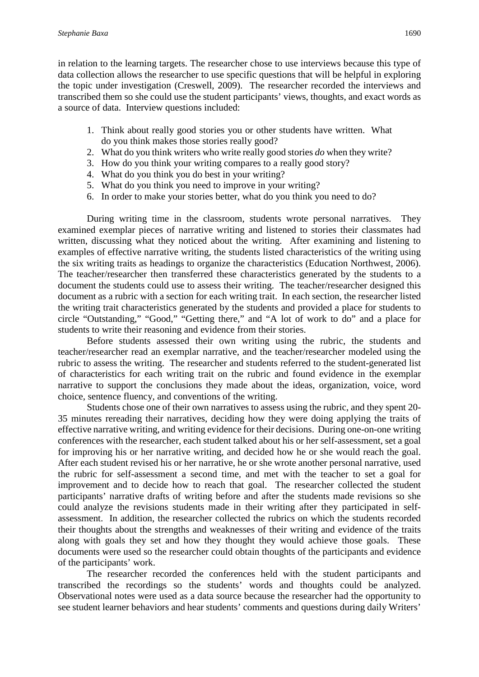in relation to the learning targets. The researcher chose to use interviews because this type of data collection allows the researcher to use specific questions that will be helpful in exploring the topic under investigation (Creswell, 2009). The researcher recorded the interviews and transcribed them so she could use the student participants' views, thoughts, and exact words as a source of data. Interview questions included:

- 1. Think about really good stories you or other students have written. What do you think makes those stories really good?
- 2. What do you think writers who write really good stories *do* when they write?
- 3. How do you think your writing compares to a really good story?
- 4. What do you think you do best in your writing?
- 5. What do you think you need to improve in your writing?
- 6. In order to make your stories better, what do you think you need to do?

During writing time in the classroom, students wrote personal narratives. They examined exemplar pieces of narrative writing and listened to stories their classmates had written, discussing what they noticed about the writing. After examining and listening to examples of effective narrative writing, the students listed characteristics of the writing using the six writing traits as headings to organize the characteristics (Education Northwest, 2006). The teacher/researcher then transferred these characteristics generated by the students to a document the students could use to assess their writing. The teacher/researcher designed this document as a rubric with a section for each writing trait. In each section, the researcher listed the writing trait characteristics generated by the students and provided a place for students to circle "Outstanding," "Good," "Getting there," and "A lot of work to do" and a place for students to write their reasoning and evidence from their stories.

Before students assessed their own writing using the rubric, the students and teacher/researcher read an exemplar narrative, and the teacher/researcher modeled using the rubric to assess the writing. The researcher and students referred to the student-generated list of characteristics for each writing trait on the rubric and found evidence in the exemplar narrative to support the conclusions they made about the ideas, organization, voice, word choice, sentence fluency, and conventions of the writing.

Students chose one of their own narratives to assess using the rubric, and they spent 20- 35 minutes rereading their narratives, deciding how they were doing applying the traits of effective narrative writing, and writing evidence for their decisions. During one-on-one writing conferences with the researcher, each student talked about his or her self-assessment, set a goal for improving his or her narrative writing, and decided how he or she would reach the goal. After each student revised his or her narrative, he or she wrote another personal narrative, used the rubric for self-assessment a second time, and met with the teacher to set a goal for improvement and to decide how to reach that goal. The researcher collected the student participants' narrative drafts of writing before and after the students made revisions so she could analyze the revisions students made in their writing after they participated in selfassessment. In addition, the researcher collected the rubrics on which the students recorded their thoughts about the strengths and weaknesses of their writing and evidence of the traits along with goals they set and how they thought they would achieve those goals. These documents were used so the researcher could obtain thoughts of the participants and evidence of the participants' work.

The researcher recorded the conferences held with the student participants and transcribed the recordings so the students' words and thoughts could be analyzed. Observational notes were used as a data source because the researcher had the opportunity to see student learner behaviors and hear students' comments and questions during daily Writers'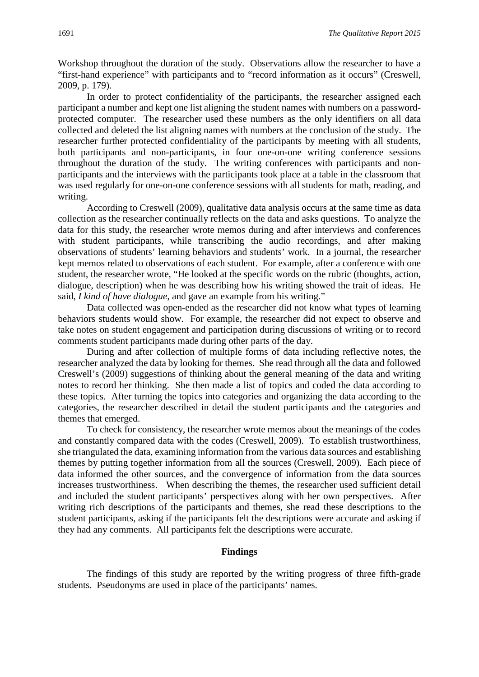Workshop throughout the duration of the study. Observations allow the researcher to have a "first-hand experience" with participants and to "record information as it occurs" (Creswell, 2009, p. 179).

In order to protect confidentiality of the participants, the researcher assigned each participant a number and kept one list aligning the student names with numbers on a passwordprotected computer. The researcher used these numbers as the only identifiers on all data collected and deleted the list aligning names with numbers at the conclusion of the study. The researcher further protected confidentiality of the participants by meeting with all students, both participants and non-participants, in four one-on-one writing conference sessions throughout the duration of the study. The writing conferences with participants and nonparticipants and the interviews with the participants took place at a table in the classroom that was used regularly for one-on-one conference sessions with all students for math, reading, and writing.

According to Creswell (2009), qualitative data analysis occurs at the same time as data collection as the researcher continually reflects on the data and asks questions. To analyze the data for this study, the researcher wrote memos during and after interviews and conferences with student participants, while transcribing the audio recordings, and after making observations of students' learning behaviors and students' work. In a journal, the researcher kept memos related to observations of each student. For example, after a conference with one student, the researcher wrote, "He looked at the specific words on the rubric (thoughts, action, dialogue, description) when he was describing how his writing showed the trait of ideas. He said, *I kind of have dialogue*, and gave an example from his writing."

Data collected was open-ended as the researcher did not know what types of learning behaviors students would show. For example, the researcher did not expect to observe and take notes on student engagement and participation during discussions of writing or to record comments student participants made during other parts of the day.

During and after collection of multiple forms of data including reflective notes, the researcher analyzed the data by looking for themes. She read through all the data and followed Creswell's (2009) suggestions of thinking about the general meaning of the data and writing notes to record her thinking. She then made a list of topics and coded the data according to these topics. After turning the topics into categories and organizing the data according to the categories, the researcher described in detail the student participants and the categories and themes that emerged.

To check for consistency, the researcher wrote memos about the meanings of the codes and constantly compared data with the codes (Creswell, 2009). To establish trustworthiness, she triangulated the data, examining information from the various data sources and establishing themes by putting together information from all the sources (Creswell, 2009). Each piece of data informed the other sources, and the convergence of information from the data sources increases trustworthiness. When describing the themes, the researcher used sufficient detail and included the student participants' perspectives along with her own perspectives. After writing rich descriptions of the participants and themes, she read these descriptions to the student participants, asking if the participants felt the descriptions were accurate and asking if they had any comments. All participants felt the descriptions were accurate.

#### **Findings**

The findings of this study are reported by the writing progress of three fifth-grade students. Pseudonyms are used in place of the participants' names.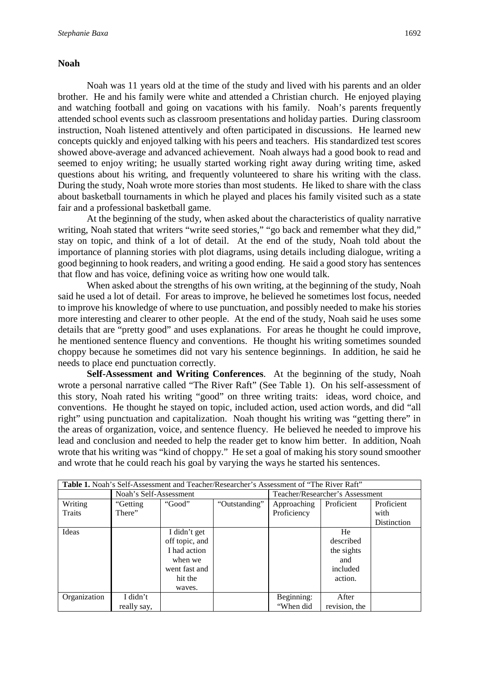#### **Noah**

Noah was 11 years old at the time of the study and lived with his parents and an older brother. He and his family were white and attended a Christian church. He enjoyed playing and watching football and going on vacations with his family. Noah's parents frequently attended school events such as classroom presentations and holiday parties. During classroom instruction, Noah listened attentively and often participated in discussions. He learned new concepts quickly and enjoyed talking with his peers and teachers. His standardized test scores showed above-average and advanced achievement. Noah always had a good book to read and seemed to enjoy writing; he usually started working right away during writing time, asked questions about his writing, and frequently volunteered to share his writing with the class. During the study, Noah wrote more stories than most students. He liked to share with the class about basketball tournaments in which he played and places his family visited such as a state fair and a professional basketball game.

At the beginning of the study, when asked about the characteristics of quality narrative writing, Noah stated that writers "write seed stories," "go back and remember what they did," stay on topic, and think of a lot of detail. At the end of the study, Noah told about the importance of planning stories with plot diagrams, using details including dialogue, writing a good beginning to hook readers, and writing a good ending. He said a good story has sentences that flow and has voice, defining voice as writing how one would talk.

When asked about the strengths of his own writing, at the beginning of the study, Noah said he used a lot of detail. For areas to improve, he believed he sometimes lost focus, needed to improve his knowledge of where to use punctuation, and possibly needed to make his stories more interesting and clearer to other people. At the end of the study, Noah said he uses some details that are "pretty good" and uses explanations. For areas he thought he could improve, he mentioned sentence fluency and conventions. He thought his writing sometimes sounded choppy because he sometimes did not vary his sentence beginnings. In addition, he said he needs to place end punctuation correctly.

**Self-Assessment and Writing Conferences**. At the beginning of the study, Noah wrote a personal narrative called "The River Raft" (See Table 1). On his self-assessment of this story, Noah rated his writing "good" on three writing traits: ideas, word choice, and conventions. He thought he stayed on topic, included action, used action words, and did "all right" using punctuation and capitalization. Noah thought his writing was "getting there" in the areas of organization, voice, and sentence fluency. He believed he needed to improve his lead and conclusion and needed to help the reader get to know him better. In addition, Noah wrote that his writing was "kind of choppy." He set a goal of making his story sound smoother and wrote that he could reach his goal by varying the ways he started his sentences.

| Table 1. Noah's Self-Assessment and Teacher/Researcher's Assessment of "The River Raft" |                        |                |               |             |                                 |             |  |
|-----------------------------------------------------------------------------------------|------------------------|----------------|---------------|-------------|---------------------------------|-------------|--|
|                                                                                         | Noah's Self-Assessment |                |               |             | Teacher/Researcher's Assessment |             |  |
| Writing                                                                                 | "Getting"              | "Good"         | "Outstanding" | Approaching | Proficient                      | Proficient  |  |
| Traits                                                                                  | There"                 |                |               | Proficiency |                                 | with        |  |
|                                                                                         |                        |                |               |             |                                 | Distinction |  |
| Ideas                                                                                   |                        | I didn't get   |               |             | He                              |             |  |
|                                                                                         |                        | off topic, and |               |             | described                       |             |  |
|                                                                                         |                        | I had action   |               |             | the sights                      |             |  |
|                                                                                         |                        | when we        |               |             | and                             |             |  |
|                                                                                         |                        | went fast and  |               |             | included                        |             |  |
|                                                                                         |                        | hit the        |               |             | action.                         |             |  |
|                                                                                         |                        | waves.         |               |             |                                 |             |  |
| Organization                                                                            | I didn't               |                |               | Beginning:  | After                           |             |  |
|                                                                                         | really say.            |                |               | "When did   | revision, the                   |             |  |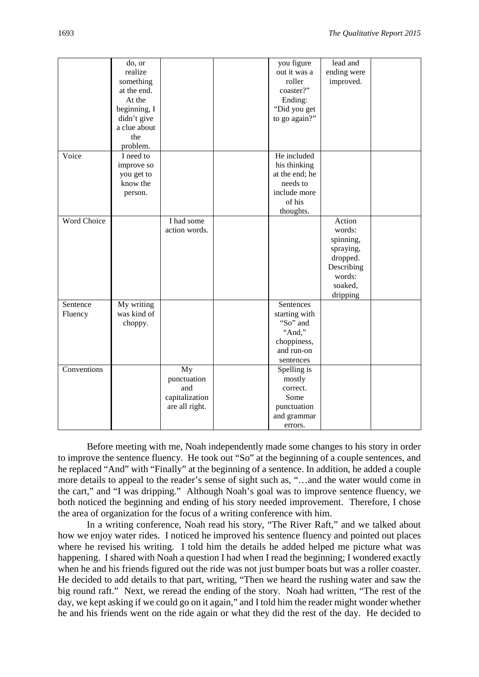|                    | do, or       |                | you figure                | lead and    |  |
|--------------------|--------------|----------------|---------------------------|-------------|--|
|                    | realize      |                | out it was a              | ending were |  |
|                    | something    |                | roller                    | improved.   |  |
|                    | at the end.  |                | coaster?"                 |             |  |
|                    | At the       |                | Ending:                   |             |  |
|                    | beginning, I |                | "Did you get              |             |  |
|                    | didn't give  |                | to go again?"             |             |  |
|                    | a clue about |                |                           |             |  |
|                    | the          |                |                           |             |  |
|                    | problem.     |                |                           |             |  |
| Voice              | I need to    |                | He included               |             |  |
|                    |              |                |                           |             |  |
|                    | improve so   |                | his thinking              |             |  |
|                    | you get to   |                | at the end; he            |             |  |
|                    | know the     |                | needs to                  |             |  |
|                    | person.      |                | include more              |             |  |
|                    |              |                | of his                    |             |  |
|                    |              |                | thoughts.                 |             |  |
| <b>Word Choice</b> |              | I had some     |                           | Action      |  |
|                    |              | action words.  |                           | words:      |  |
|                    |              |                |                           | spinning,   |  |
|                    |              |                |                           | spraying,   |  |
|                    |              |                |                           | dropped.    |  |
|                    |              |                |                           | Describing  |  |
|                    |              |                |                           | words:      |  |
|                    |              |                |                           | soaked,     |  |
|                    |              |                |                           | dripping    |  |
| Sentence           | My writing   |                | Sentences                 |             |  |
| Fluency            | was kind of  |                | starting with             |             |  |
|                    | choppy.      |                | "So" and                  |             |  |
|                    |              |                | "And,"                    |             |  |
|                    |              |                |                           |             |  |
|                    |              |                | choppiness,<br>and run-on |             |  |
|                    |              |                |                           |             |  |
|                    |              |                | sentences                 |             |  |
| Conventions        |              | My             | Spelling is               |             |  |
|                    |              | punctuation    | mostly                    |             |  |
|                    |              | and            | correct.                  |             |  |
|                    |              | capitalization | Some                      |             |  |
|                    |              | are all right. | punctuation               |             |  |
|                    |              |                | and grammar               |             |  |
|                    |              |                | errors.                   |             |  |

Before meeting with me, Noah independently made some changes to his story in order to improve the sentence fluency. He took out "So" at the beginning of a couple sentences, and he replaced "And" with "Finally" at the beginning of a sentence. In addition, he added a couple more details to appeal to the reader's sense of sight such as, "…and the water would come in the cart," and "I was dripping." Although Noah's goal was to improve sentence fluency, we both noticed the beginning and ending of his story needed improvement. Therefore, I chose the area of organization for the focus of a writing conference with him.

In a writing conference, Noah read his story, "The River Raft," and we talked about how we enjoy water rides. I noticed he improved his sentence fluency and pointed out places where he revised his writing. I told him the details he added helped me picture what was happening. I shared with Noah a question I had when I read the beginning; I wondered exactly when he and his friends figured out the ride was not just bumper boats but was a roller coaster. He decided to add details to that part, writing, "Then we heard the rushing water and saw the big round raft." Next, we reread the ending of the story. Noah had written, "The rest of the day, we kept asking if we could go on it again," and I told him the reader might wonder whether he and his friends went on the ride again or what they did the rest of the day. He decided to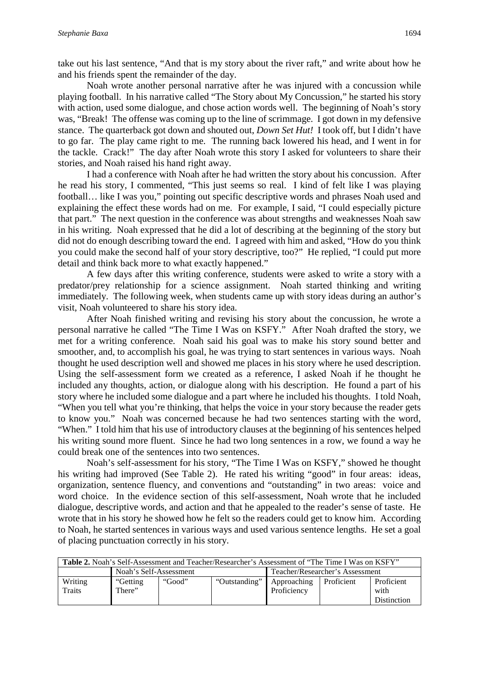take out his last sentence, "And that is my story about the river raft," and write about how he and his friends spent the remainder of the day.

Noah wrote another personal narrative after he was injured with a concussion while playing football. In his narrative called "The Story about My Concussion," he started his story with action, used some dialogue, and chose action words well. The beginning of Noah's story was, "Break! The offense was coming up to the line of scrimmage. I got down in my defensive stance. The quarterback got down and shouted out, *Down Set Hut!* I took off, but I didn't have to go far. The play came right to me. The running back lowered his head, and I went in for the tackle. Crack!" The day after Noah wrote this story I asked for volunteers to share their stories, and Noah raised his hand right away.

I had a conference with Noah after he had written the story about his concussion. After he read his story, I commented, "This just seems so real. I kind of felt like I was playing football… like I was you," pointing out specific descriptive words and phrases Noah used and explaining the effect these words had on me. For example, I said, "I could especially picture that part." The next question in the conference was about strengths and weaknesses Noah saw in his writing. Noah expressed that he did a lot of describing at the beginning of the story but did not do enough describing toward the end. I agreed with him and asked, "How do you think you could make the second half of your story descriptive, too?" He replied, "I could put more detail and think back more to what exactly happened."

A few days after this writing conference, students were asked to write a story with a predator/prey relationship for a science assignment. Noah started thinking and writing immediately. The following week, when students came up with story ideas during an author's visit, Noah volunteered to share his story idea.

After Noah finished writing and revising his story about the concussion, he wrote a personal narrative he called "The Time I Was on KSFY." After Noah drafted the story, we met for a writing conference. Noah said his goal was to make his story sound better and smoother, and, to accomplish his goal, he was trying to start sentences in various ways. Noah thought he used description well and showed me places in his story where he used description. Using the self-assessment form we created as a reference, I asked Noah if he thought he included any thoughts, action, or dialogue along with his description. He found a part of his story where he included some dialogue and a part where he included his thoughts. I told Noah, "When you tell what you're thinking, that helps the voice in your story because the reader gets to know you." Noah was concerned because he had two sentences starting with the word, "When." I told him that his use of introductory clauses at the beginning of his sentences helped his writing sound more fluent. Since he had two long sentences in a row, we found a way he could break one of the sentences into two sentences.

Noah's self-assessment for his story, "The Time I Was on KSFY," showed he thought his writing had improved (See Table 2). He rated his writing "good" in four areas: ideas, organization, sentence fluency, and conventions and "outstanding" in two areas: voice and word choice. In the evidence section of this self-assessment, Noah wrote that he included dialogue, descriptive words, and action and that he appealed to the reader's sense of taste. He wrote that in his story he showed how he felt so the readers could get to know him. According to Noah, he started sentences in various ways and used various sentence lengths. He set a goal of placing punctuation correctly in his story.

| <b>Table 2.</b> Noah's Self-Assessment and Teacher/Researcher's Assessment of "The Time I Was on KSFY" |                        |        |                             |                                 |                   |                    |  |  |  |
|--------------------------------------------------------------------------------------------------------|------------------------|--------|-----------------------------|---------------------------------|-------------------|--------------------|--|--|--|
|                                                                                                        | Noah's Self-Assessment |        |                             | Teacher/Researcher's Assessment |                   |                    |  |  |  |
| Writing                                                                                                | "Getting"              | "Good" | "Outstanding"   Approaching |                                 | <b>Proficient</b> | Proficient         |  |  |  |
| <b>Traits</b>                                                                                          | There"                 |        |                             | Proficiency                     |                   | with               |  |  |  |
|                                                                                                        |                        |        |                             |                                 |                   | <b>Distinction</b> |  |  |  |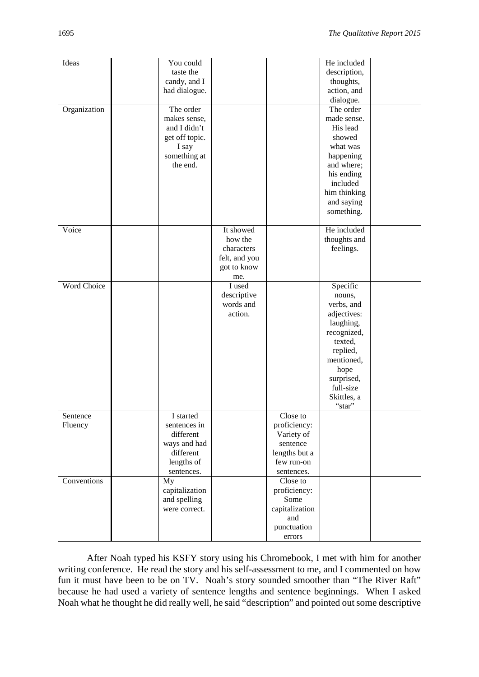| Ideas              | You could      |               |                | He included  |  |
|--------------------|----------------|---------------|----------------|--------------|--|
|                    | taste the      |               |                | description, |  |
|                    |                |               |                |              |  |
|                    | candy, and I   |               |                | thoughts,    |  |
|                    | had dialogue.  |               |                | action, and  |  |
|                    |                |               |                | dialogue.    |  |
| Organization       | The order      |               |                | The order    |  |
|                    | makes sense,   |               |                | made sense.  |  |
|                    | and I didn't   |               |                | His lead     |  |
|                    | get off topic. |               |                | showed       |  |
|                    | I say          |               |                | what was     |  |
|                    | something at   |               |                | happening    |  |
|                    | the end.       |               |                | and where;   |  |
|                    |                |               |                |              |  |
|                    |                |               |                | his ending   |  |
|                    |                |               |                | included     |  |
|                    |                |               |                | him thinking |  |
|                    |                |               |                | and saying   |  |
|                    |                |               |                | something.   |  |
|                    |                |               |                |              |  |
| Voice              |                | It showed     |                | He included  |  |
|                    |                | how the       |                | thoughts and |  |
|                    |                | characters    |                | feelings.    |  |
|                    |                | felt, and you |                |              |  |
|                    |                | got to know   |                |              |  |
|                    |                | me.           |                |              |  |
| <b>Word Choice</b> |                | I used        |                | Specific     |  |
|                    |                | descriptive   |                | nouns,       |  |
|                    |                | words and     |                | verbs, and   |  |
|                    |                | action.       |                | adjectives:  |  |
|                    |                |               |                | laughing,    |  |
|                    |                |               |                | recognized,  |  |
|                    |                |               |                |              |  |
|                    |                |               |                | texted,      |  |
|                    |                |               |                | replied,     |  |
|                    |                |               |                | mentioned,   |  |
|                    |                |               |                | hope         |  |
|                    |                |               |                | surprised,   |  |
|                    |                |               |                | full-size    |  |
|                    |                |               |                | Skittles, a  |  |
|                    |                |               |                | "star"       |  |
| Sentence           | I started      |               | Close to       |              |  |
| Fluency            | sentences in   |               | proficiency:   |              |  |
|                    | different      |               | Variety of     |              |  |
|                    | ways and had   |               | sentence       |              |  |
|                    | different      |               | lengths but a  |              |  |
|                    | lengths of     |               | few run-on     |              |  |
|                    | sentences.     |               | sentences.     |              |  |
| Conventions        | My             |               | Close to       |              |  |
|                    | capitalization |               | proficiency:   |              |  |
|                    | and spelling   |               | Some           |              |  |
|                    |                |               |                |              |  |
|                    | were correct.  |               | capitalization |              |  |
|                    |                |               | and            |              |  |
|                    |                |               | punctuation    |              |  |
|                    |                |               | errors         |              |  |

After Noah typed his KSFY story using his Chromebook, I met with him for another writing conference. He read the story and his self-assessment to me, and I commented on how fun it must have been to be on TV. Noah's story sounded smoother than "The River Raft" because he had used a variety of sentence lengths and sentence beginnings. When I asked Noah what he thought he did really well, he said "description" and pointed out some descriptive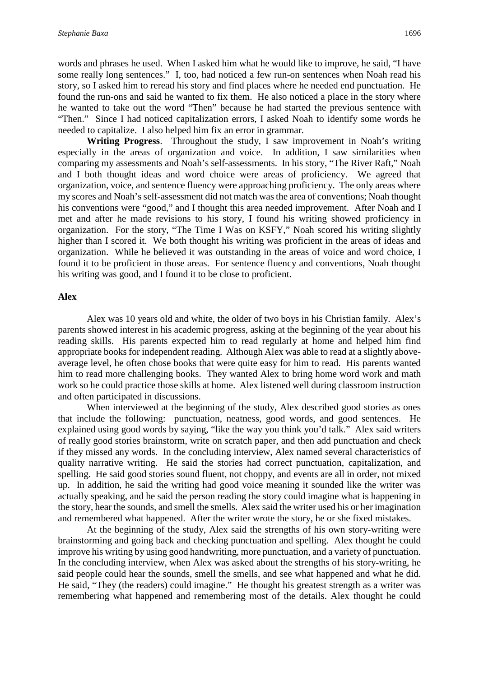words and phrases he used. When I asked him what he would like to improve, he said, "I have some really long sentences." I, too, had noticed a few run-on sentences when Noah read his story, so I asked him to reread his story and find places where he needed end punctuation. He found the run-ons and said he wanted to fix them. He also noticed a place in the story where he wanted to take out the word "Then" because he had started the previous sentence with "Then." Since I had noticed capitalization errors, I asked Noah to identify some words he needed to capitalize. I also helped him fix an error in grammar.

**Writing Progress**. Throughout the study, I saw improvement in Noah's writing especially in the areas of organization and voice. In addition, I saw similarities when comparing my assessments and Noah's self-assessments. In his story, "The River Raft," Noah and I both thought ideas and word choice were areas of proficiency. We agreed that organization, voice, and sentence fluency were approaching proficiency. The only areas where my scores and Noah's self-assessment did not match was the area of conventions; Noah thought his conventions were "good," and I thought this area needed improvement. After Noah and I met and after he made revisions to his story, I found his writing showed proficiency in organization. For the story, "The Time I Was on KSFY," Noah scored his writing slightly higher than I scored it. We both thought his writing was proficient in the areas of ideas and organization. While he believed it was outstanding in the areas of voice and word choice, I found it to be proficient in those areas. For sentence fluency and conventions, Noah thought his writing was good, and I found it to be close to proficient.

#### **Alex**

Alex was 10 years old and white, the older of two boys in his Christian family. Alex's parents showed interest in his academic progress, asking at the beginning of the year about his reading skills. His parents expected him to read regularly at home and helped him find appropriate books for independent reading. Although Alex was able to read at a slightly aboveaverage level, he often chose books that were quite easy for him to read. His parents wanted him to read more challenging books. They wanted Alex to bring home word work and math work so he could practice those skills at home. Alex listened well during classroom instruction and often participated in discussions.

When interviewed at the beginning of the study, Alex described good stories as ones that include the following: punctuation, neatness, good words, and good sentences. He explained using good words by saying, "like the way you think you'd talk." Alex said writers of really good stories brainstorm, write on scratch paper, and then add punctuation and check if they missed any words. In the concluding interview, Alex named several characteristics of quality narrative writing. He said the stories had correct punctuation, capitalization, and spelling. He said good stories sound fluent, not choppy, and events are all in order, not mixed up. In addition, he said the writing had good voice meaning it sounded like the writer was actually speaking, and he said the person reading the story could imagine what is happening in the story, hear the sounds, and smell the smells. Alex said the writer used his or her imagination and remembered what happened. After the writer wrote the story, he or she fixed mistakes.

At the beginning of the study, Alex said the strengths of his own story-writing were brainstorming and going back and checking punctuation and spelling. Alex thought he could improve his writing by using good handwriting, more punctuation, and a variety of punctuation. In the concluding interview, when Alex was asked about the strengths of his story-writing, he said people could hear the sounds, smell the smells, and see what happened and what he did. He said, "They (the readers) could imagine." He thought his greatest strength as a writer was remembering what happened and remembering most of the details. Alex thought he could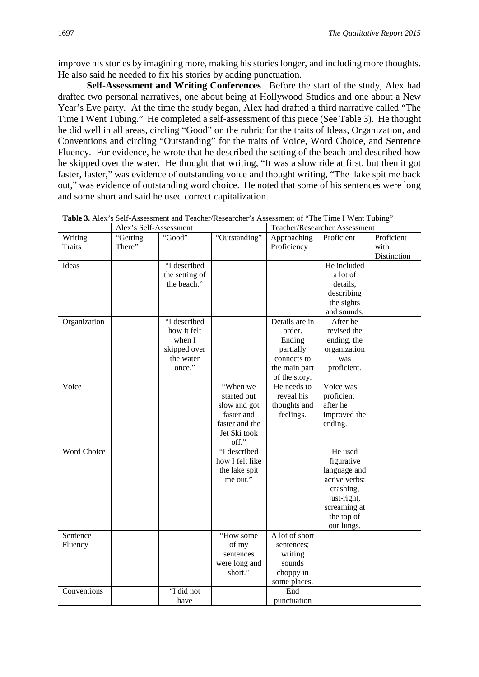improve his stories by imagining more, making his stories longer, and including more thoughts. He also said he needed to fix his stories by adding punctuation.

**Self-Assessment and Writing Conferences**. Before the start of the study, Alex had drafted two personal narratives, one about being at Hollywood Studios and one about a New Year's Eve party. At the time the study began, Alex had drafted a third narrative called "The Time I Went Tubing." He completed a self-assessment of this piece (See Table 3). He thought he did well in all areas, circling "Good" on the rubric for the traits of Ideas, Organization, and Conventions and circling "Outstanding" for the traits of Voice, Word Choice, and Sentence Fluency. For evidence, he wrote that he described the setting of the beach and described how he skipped over the water. He thought that writing, "It was a slow ride at first, but then it got faster, faster," was evidence of outstanding voice and thought writing, "The lake spit me back out," was evidence of outstanding word choice. He noted that some of his sentences were long and some short and said he used correct capitalization.

|                     |                        |                                                                              | Table 3. Alex's Self-Assessment and Teacher/Researcher's Assessment of "The Time I Went Tubing"  |                                                                                                  |                                                                                                                                |                                   |
|---------------------|------------------------|------------------------------------------------------------------------------|--------------------------------------------------------------------------------------------------|--------------------------------------------------------------------------------------------------|--------------------------------------------------------------------------------------------------------------------------------|-----------------------------------|
|                     | Alex's Self-Assessment |                                                                              |                                                                                                  | Teacher/Researcher Assessment                                                                    |                                                                                                                                |                                   |
| Writing<br>Traits   | "Getting<br>There"     | "Good"                                                                       | "Outstanding"                                                                                    | Approaching<br>Proficiency                                                                       | Proficient                                                                                                                     | Proficient<br>with<br>Distinction |
| Ideas               |                        | "I described<br>the setting of<br>the beach."                                |                                                                                                  |                                                                                                  | He included<br>a lot of<br>details,<br>describing<br>the sights<br>and sounds.                                                 |                                   |
| Organization        |                        | "I described<br>how it felt<br>when I<br>skipped over<br>the water<br>once." |                                                                                                  | Details are in<br>order.<br>Ending<br>partially<br>connects to<br>the main part<br>of the story. | After he<br>revised the<br>ending, the<br>organization<br>was<br>proficient.                                                   |                                   |
| Voice               |                        |                                                                              | "When we<br>started out<br>slow and got<br>faster and<br>faster and the<br>Jet Ski took<br>off." | He needs to<br>reveal his<br>thoughts and<br>feelings.                                           | Voice was<br>proficient<br>after he<br>improved the<br>ending.                                                                 |                                   |
| Word Choice         |                        |                                                                              | "I described<br>how I felt like<br>the lake spit<br>me out."                                     |                                                                                                  | He used<br>figurative<br>language and<br>active verbs:<br>crashing,<br>just-right,<br>screaming at<br>the top of<br>our lungs. |                                   |
| Sentence<br>Fluency |                        |                                                                              | "How some<br>of my<br>sentences<br>were long and<br>short."                                      | A lot of short<br>sentences;<br>writing<br>sounds<br>choppy in<br>some places.                   |                                                                                                                                |                                   |
| Conventions         |                        | 'I did not<br>have                                                           |                                                                                                  | End<br>punctuation                                                                               |                                                                                                                                |                                   |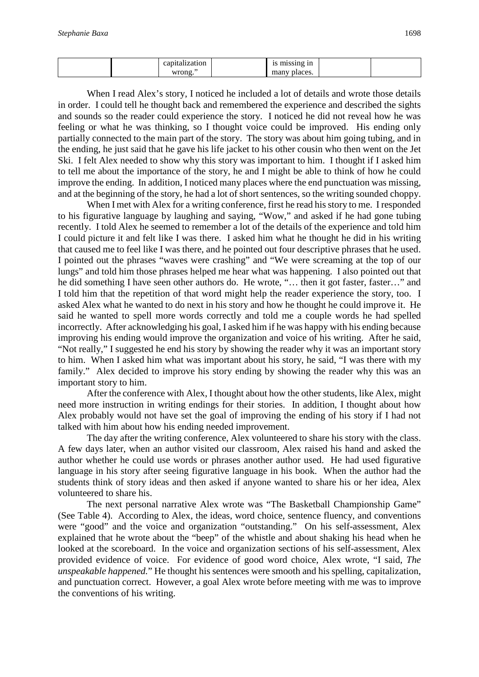| . .<br>$\sim$<br>:1Or | g in              |  |
|-----------------------|-------------------|--|
| nn                    | .aces<br>-------- |  |

When I read Alex's story, I noticed he included a lot of details and wrote those details in order. I could tell he thought back and remembered the experience and described the sights and sounds so the reader could experience the story. I noticed he did not reveal how he was feeling or what he was thinking, so I thought voice could be improved. His ending only partially connected to the main part of the story. The story was about him going tubing, and in the ending, he just said that he gave his life jacket to his other cousin who then went on the Jet Ski. I felt Alex needed to show why this story was important to him. I thought if I asked him to tell me about the importance of the story, he and I might be able to think of how he could improve the ending. In addition, I noticed many places where the end punctuation was missing, and at the beginning of the story, he had a lot of short sentences, so the writing sounded choppy.

When I met with Alex for a writing conference, first he read his story to me. I responded to his figurative language by laughing and saying, "Wow," and asked if he had gone tubing recently. I told Alex he seemed to remember a lot of the details of the experience and told him I could picture it and felt like I was there. I asked him what he thought he did in his writing that caused me to feel like I was there, and he pointed out four descriptive phrases that he used. I pointed out the phrases "waves were crashing" and "We were screaming at the top of our lungs" and told him those phrases helped me hear what was happening. I also pointed out that he did something I have seen other authors do. He wrote, "… then it got faster, faster…" and I told him that the repetition of that word might help the reader experience the story, too. I asked Alex what he wanted to do next in his story and how he thought he could improve it. He said he wanted to spell more words correctly and told me a couple words he had spelled incorrectly. After acknowledging his goal, I asked him if he was happy with his ending because improving his ending would improve the organization and voice of his writing. After he said, "Not really," I suggested he end his story by showing the reader why it was an important story to him. When I asked him what was important about his story, he said, "I was there with my family." Alex decided to improve his story ending by showing the reader why this was an important story to him.

After the conference with Alex, I thought about how the other students, like Alex, might need more instruction in writing endings for their stories. In addition, I thought about how Alex probably would not have set the goal of improving the ending of his story if I had not talked with him about how his ending needed improvement.

The day after the writing conference, Alex volunteered to share his story with the class. A few days later, when an author visited our classroom, Alex raised his hand and asked the author whether he could use words or phrases another author used. He had used figurative language in his story after seeing figurative language in his book. When the author had the students think of story ideas and then asked if anyone wanted to share his or her idea, Alex volunteered to share his.

The next personal narrative Alex wrote was "The Basketball Championship Game" (See Table 4). According to Alex, the ideas, word choice, sentence fluency, and conventions were "good" and the voice and organization "outstanding." On his self-assessment, Alex explained that he wrote about the "beep" of the whistle and about shaking his head when he looked at the scoreboard. In the voice and organization sections of his self-assessment, Alex provided evidence of voice. For evidence of good word choice, Alex wrote, "I said, *The unspeakable happened.*" He thought his sentences were smooth and his spelling, capitalization, and punctuation correct. However, a goal Alex wrote before meeting with me was to improve the conventions of his writing.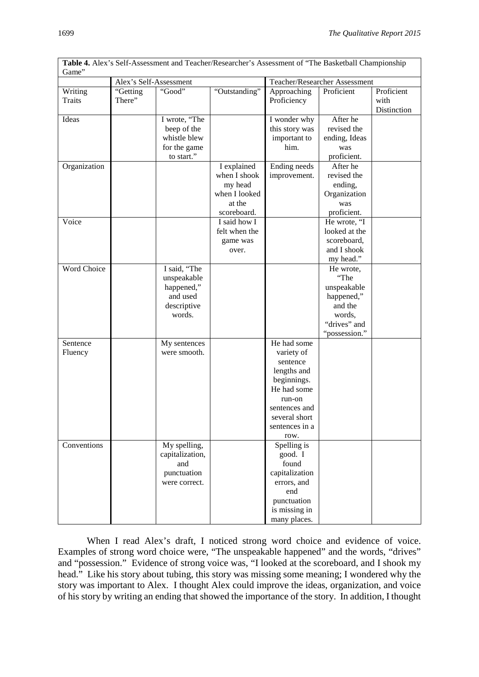|               |                                    |                 | Table 4. Alex's Self-Assessment and Teacher/Researcher's Assessment of "The Basketball Championship |                                |                                             |             |
|---------------|------------------------------------|-----------------|-----------------------------------------------------------------------------------------------------|--------------------------------|---------------------------------------------|-------------|
| Game"         |                                    |                 |                                                                                                     |                                |                                             |             |
| Writing       | Alex's Self-Assessment<br>"Getting | "Good"          | "Outstanding"                                                                                       | Approaching                    | Teacher/Researcher Assessment<br>Proficient | Proficient  |
| <b>Traits</b> | There"                             |                 |                                                                                                     | Proficiency                    |                                             | with        |
|               |                                    |                 |                                                                                                     |                                |                                             | Distinction |
| Ideas         |                                    | I wrote, "The   |                                                                                                     | I wonder why                   | After he                                    |             |
|               |                                    | beep of the     |                                                                                                     | this story was                 | revised the                                 |             |
|               |                                    | whistle blew    |                                                                                                     | important to                   | ending, Ideas                               |             |
|               |                                    | for the game    |                                                                                                     | him.                           | was                                         |             |
|               |                                    | to start."      |                                                                                                     |                                | proficient.                                 |             |
| Organization  |                                    |                 | I explained                                                                                         | Ending needs                   | After he                                    |             |
|               |                                    |                 | when I shook                                                                                        | improvement.                   | revised the                                 |             |
|               |                                    |                 | my head                                                                                             |                                | ending,                                     |             |
|               |                                    |                 | when I looked                                                                                       |                                | Organization                                |             |
|               |                                    |                 | at the                                                                                              |                                | was                                         |             |
|               |                                    |                 | scoreboard.<br>I said how I                                                                         |                                | proficient.                                 |             |
| Voice         |                                    |                 | felt when the                                                                                       |                                | He wrote, "I<br>looked at the               |             |
|               |                                    |                 |                                                                                                     |                                | scoreboard,                                 |             |
|               |                                    |                 | game was<br>over.                                                                                   |                                | and I shook                                 |             |
|               |                                    |                 |                                                                                                     |                                | my head."                                   |             |
| Word Choice   |                                    | I said, "The    |                                                                                                     |                                | He wrote,                                   |             |
|               |                                    | unspeakable     |                                                                                                     |                                | "The                                        |             |
|               |                                    | happened,"      |                                                                                                     |                                | unspeakable                                 |             |
|               |                                    | and used        |                                                                                                     |                                | happened,"                                  |             |
|               |                                    | descriptive     |                                                                                                     |                                | and the                                     |             |
|               |                                    | words.          |                                                                                                     |                                | words,                                      |             |
|               |                                    |                 |                                                                                                     |                                | "drives" and                                |             |
|               |                                    |                 |                                                                                                     |                                | "possession."                               |             |
| Sentence      |                                    | My sentences    |                                                                                                     | He had some                    |                                             |             |
| Fluency       |                                    | were smooth.    |                                                                                                     | variety of                     |                                             |             |
|               |                                    |                 |                                                                                                     | sentence                       |                                             |             |
|               |                                    |                 |                                                                                                     | lengths and                    |                                             |             |
|               |                                    |                 |                                                                                                     | beginnings.                    |                                             |             |
|               |                                    |                 |                                                                                                     | He had some                    |                                             |             |
|               |                                    |                 |                                                                                                     | run-on                         |                                             |             |
|               |                                    |                 |                                                                                                     | sentences and<br>several short |                                             |             |
|               |                                    |                 |                                                                                                     | sentences in a                 |                                             |             |
|               |                                    |                 |                                                                                                     | row.                           |                                             |             |
| Conventions   |                                    | My spelling,    |                                                                                                     | Spelling is                    |                                             |             |
|               |                                    | capitalization, |                                                                                                     | good. I                        |                                             |             |
|               |                                    | and             |                                                                                                     | found                          |                                             |             |
|               |                                    | punctuation     |                                                                                                     | capitalization                 |                                             |             |
|               |                                    | were correct.   |                                                                                                     | errors, and                    |                                             |             |
|               |                                    |                 |                                                                                                     | end                            |                                             |             |
|               |                                    |                 |                                                                                                     | punctuation                    |                                             |             |
|               |                                    |                 |                                                                                                     | is missing in                  |                                             |             |
|               |                                    |                 |                                                                                                     | many places.                   |                                             |             |

When I read Alex's draft, I noticed strong word choice and evidence of voice. Examples of strong word choice were, "The unspeakable happened" and the words, "drives" and "possession." Evidence of strong voice was, "I looked at the scoreboard, and I shook my head." Like his story about tubing, this story was missing some meaning; I wondered why the story was important to Alex. I thought Alex could improve the ideas, organization, and voice of his story by writing an ending that showed the importance of the story. In addition, I thought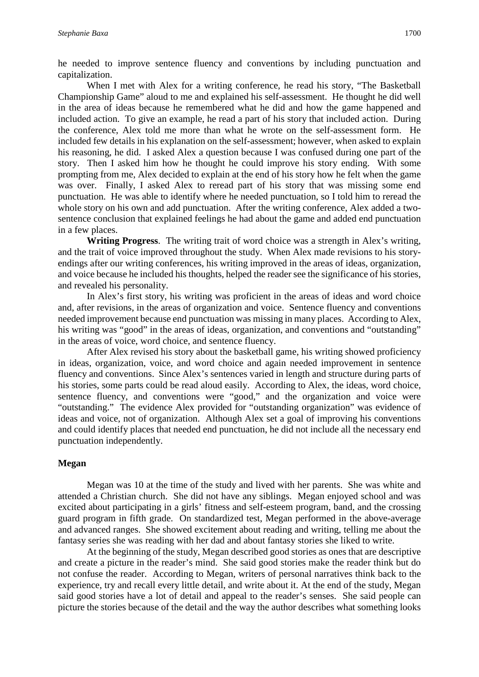he needed to improve sentence fluency and conventions by including punctuation and capitalization.

When I met with Alex for a writing conference, he read his story, "The Basketball" Championship Game" aloud to me and explained his self-assessment. He thought he did well in the area of ideas because he remembered what he did and how the game happened and included action. To give an example, he read a part of his story that included action. During the conference, Alex told me more than what he wrote on the self-assessment form. He included few details in his explanation on the self-assessment; however, when asked to explain his reasoning, he did. I asked Alex a question because I was confused during one part of the story. Then I asked him how he thought he could improve his story ending. With some prompting from me, Alex decided to explain at the end of his story how he felt when the game was over. Finally, I asked Alex to reread part of his story that was missing some end punctuation. He was able to identify where he needed punctuation, so I told him to reread the whole story on his own and add punctuation. After the writing conference, Alex added a twosentence conclusion that explained feelings he had about the game and added end punctuation in a few places.

**Writing Progress**. The writing trait of word choice was a strength in Alex's writing, and the trait of voice improved throughout the study. When Alex made revisions to his storyendings after our writing conferences, his writing improved in the areas of ideas, organization, and voice because he included his thoughts, helped the reader see the significance of his stories, and revealed his personality.

In Alex's first story, his writing was proficient in the areas of ideas and word choice and, after revisions, in the areas of organization and voice. Sentence fluency and conventions needed improvement because end punctuation was missing in many places. According to Alex, his writing was "good" in the areas of ideas, organization, and conventions and "outstanding" in the areas of voice, word choice, and sentence fluency.

After Alex revised his story about the basketball game, his writing showed proficiency in ideas, organization, voice, and word choice and again needed improvement in sentence fluency and conventions. Since Alex's sentences varied in length and structure during parts of his stories, some parts could be read aloud easily. According to Alex, the ideas, word choice, sentence fluency, and conventions were "good," and the organization and voice were "outstanding." The evidence Alex provided for "outstanding organization" was evidence of ideas and voice, not of organization. Although Alex set a goal of improving his conventions and could identify places that needed end punctuation, he did not include all the necessary end punctuation independently.

#### **Megan**

Megan was 10 at the time of the study and lived with her parents. She was white and attended a Christian church. She did not have any siblings. Megan enjoyed school and was excited about participating in a girls' fitness and self-esteem program, band, and the crossing guard program in fifth grade. On standardized test, Megan performed in the above-average and advanced ranges. She showed excitement about reading and writing, telling me about the fantasy series she was reading with her dad and about fantasy stories she liked to write.

At the beginning of the study, Megan described good stories as ones that are descriptive and create a picture in the reader's mind. She said good stories make the reader think but do not confuse the reader. According to Megan, writers of personal narratives think back to the experience, try and recall every little detail, and write about it. At the end of the study, Megan said good stories have a lot of detail and appeal to the reader's senses. She said people can picture the stories because of the detail and the way the author describes what something looks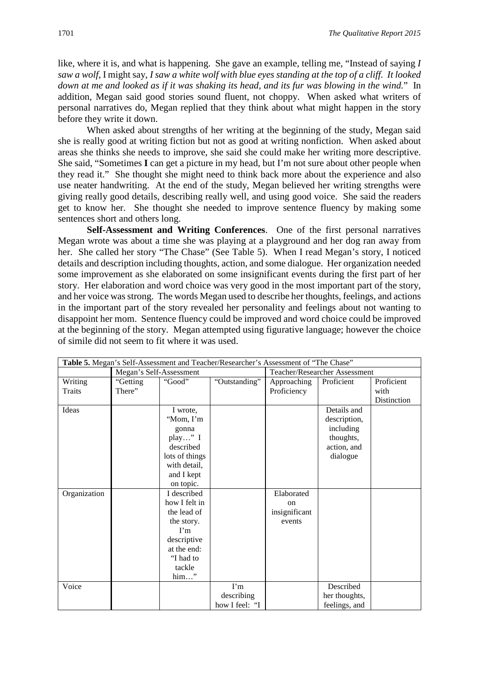like, where it is, and what is happening. She gave an example, telling me, "Instead of saying *I saw a wolf*, I might say, *I saw a white wolf with blue eyes standing at the top of a cliff. It looked down at me and looked as if it was shaking its head, and its fur was blowing in the wind.*" In addition, Megan said good stories sound fluent, not choppy. When asked what writers of personal narratives do, Megan replied that they think about what might happen in the story before they write it down.

 When asked about strengths of her writing at the beginning of the study, Megan said she is really good at writing fiction but not as good at writing nonfiction. When asked about areas she thinks she needs to improve, she said she could make her writing more descriptive. She said, "Sometimes **I** can get a picture in my head, but I'm not sure about other people when they read it." She thought she might need to think back more about the experience and also use neater handwriting. At the end of the study, Megan believed her writing strengths were giving really good details, describing really well, and using good voice. She said the readers get to know her. She thought she needed to improve sentence fluency by making some sentences short and others long.

**Self-Assessment and Writing Conferences**. One of the first personal narratives Megan wrote was about a time she was playing at a playground and her dog ran away from her. She called her story "The Chase" (See Table 5). When I read Megan's story, I noticed details and description including thoughts, action, and some dialogue. Her organization needed some improvement as she elaborated on some insignificant events during the first part of her story. Her elaboration and word choice was very good in the most important part of the story, and her voice was strong. The words Megan used to describe her thoughts, feelings, and actions in the important part of the story revealed her personality and feelings about not wanting to disappoint her mom. Sentence fluency could be improved and word choice could be improved at the beginning of the story. Megan attempted using figurative language; however the choice of simile did not seem to fit where it was used.

| Table 5. Megan's Self-Assessment and Teacher/Researcher's Assessment of "The Chase" |                         |                |                |                               |               |             |
|-------------------------------------------------------------------------------------|-------------------------|----------------|----------------|-------------------------------|---------------|-------------|
|                                                                                     | Megan's Self-Assessment |                |                | Teacher/Researcher Assessment |               |             |
| Writing                                                                             | "Getting                | "Good"         | "Outstanding"  | Approaching                   | Proficient    | Proficient  |
| Traits                                                                              | There"                  |                |                | Proficiency                   |               | with        |
|                                                                                     |                         |                |                |                               |               | Distinction |
| Ideas                                                                               |                         | I wrote,       |                |                               | Details and   |             |
|                                                                                     |                         | "Mom, I'm      |                |                               | description,  |             |
|                                                                                     |                         | gonna          |                |                               | including     |             |
|                                                                                     |                         | play" I        |                |                               | thoughts,     |             |
|                                                                                     |                         | described      |                |                               | action, and   |             |
|                                                                                     |                         | lots of things |                |                               | dialogue      |             |
|                                                                                     |                         | with detail,   |                |                               |               |             |
|                                                                                     |                         | and I kept     |                |                               |               |             |
|                                                                                     |                         | on topic.      |                |                               |               |             |
| Organization                                                                        |                         | I described    |                | Elaborated                    |               |             |
|                                                                                     |                         | how I felt in  |                | on                            |               |             |
|                                                                                     |                         | the lead of    |                | insignificant                 |               |             |
|                                                                                     |                         | the story.     |                | events                        |               |             |
|                                                                                     |                         | $\Gamma$ m     |                |                               |               |             |
|                                                                                     |                         | descriptive    |                |                               |               |             |
|                                                                                     |                         | at the end:    |                |                               |               |             |
|                                                                                     |                         | "I had to      |                |                               |               |             |
|                                                                                     |                         | tackle         |                |                               |               |             |
|                                                                                     |                         | him"           |                |                               |               |             |
| Voice                                                                               |                         |                | $\Gamma$ m     |                               | Described     |             |
|                                                                                     |                         |                | describing     |                               | her thoughts, |             |
|                                                                                     |                         |                | how I feel: "I |                               | feelings, and |             |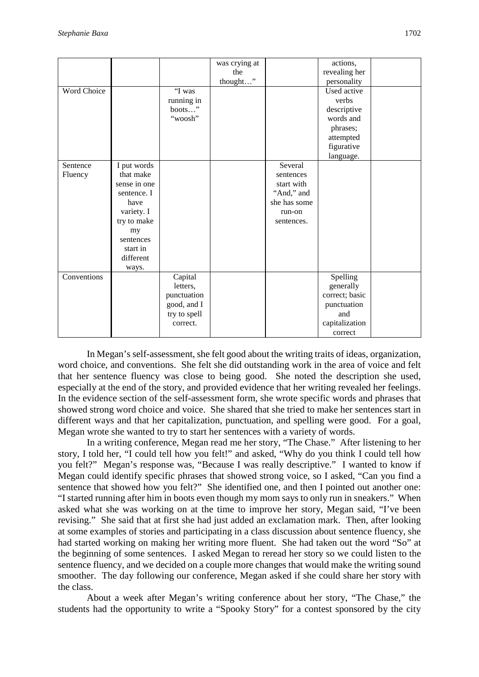|             |              |              | was crying at |              | actions,       |
|-------------|--------------|--------------|---------------|--------------|----------------|
|             |              |              | the           |              | revealing her  |
|             |              |              | thought"      |              | personality    |
| Word Choice |              | 'T was       |               |              | Used active    |
|             |              | running in   |               |              | verbs          |
|             |              | boots"       |               |              | descriptive    |
|             |              | "woosh"      |               |              | words and      |
|             |              |              |               |              | phrases;       |
|             |              |              |               |              | attempted      |
|             |              |              |               |              | figurative     |
|             |              |              |               |              | language.      |
| Sentence    | I put words  |              |               | Several      |                |
| Fluency     | that make    |              |               | sentences    |                |
|             | sense in one |              |               | start with   |                |
|             | sentence. I  |              |               | "And," and   |                |
|             | have         |              |               | she has some |                |
|             | variety. I   |              |               | run-on       |                |
|             | try to make  |              |               | sentences.   |                |
|             | my           |              |               |              |                |
|             | sentences    |              |               |              |                |
|             | start in     |              |               |              |                |
|             | different    |              |               |              |                |
|             | ways.        |              |               |              |                |
| Conventions |              | Capital      |               |              | Spelling       |
|             |              | letters,     |               |              | generally      |
|             |              | punctuation  |               |              | correct; basic |
|             |              | good, and I  |               |              | punctuation    |
|             |              | try to spell |               |              | and            |
|             |              | correct.     |               |              | capitalization |
|             |              |              |               |              | correct        |

In Megan's self-assessment, she felt good about the writing traits of ideas, organization, word choice, and conventions. She felt she did outstanding work in the area of voice and felt that her sentence fluency was close to being good. She noted the description she used, especially at the end of the story, and provided evidence that her writing revealed her feelings. In the evidence section of the self-assessment form, she wrote specific words and phrases that showed strong word choice and voice. She shared that she tried to make her sentences start in different ways and that her capitalization, punctuation, and spelling were good. For a goal, Megan wrote she wanted to try to start her sentences with a variety of words.

In a writing conference, Megan read me her story, "The Chase." After listening to her story, I told her, "I could tell how you felt!" and asked, "Why do you think I could tell how you felt?" Megan's response was, "Because I was really descriptive." I wanted to know if Megan could identify specific phrases that showed strong voice, so I asked, "Can you find a sentence that showed how you felt?" She identified one, and then I pointed out another one: "I started running after him in boots even though my mom says to only run in sneakers." When asked what she was working on at the time to improve her story, Megan said, "I've been revising." She said that at first she had just added an exclamation mark. Then, after looking at some examples of stories and participating in a class discussion about sentence fluency, she had started working on making her writing more fluent. She had taken out the word "So" at the beginning of some sentences. I asked Megan to reread her story so we could listen to the sentence fluency, and we decided on a couple more changes that would make the writing sound smoother. The day following our conference, Megan asked if she could share her story with the class.

About a week after Megan's writing conference about her story, "The Chase," the students had the opportunity to write a "Spooky Story" for a contest sponsored by the city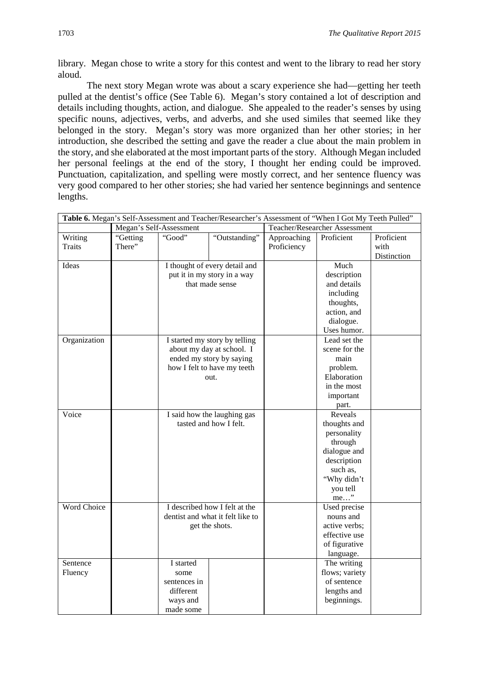library. Megan chose to write a story for this contest and went to the library to read her story aloud.

The next story Megan wrote was about a scary experience she had—getting her teeth pulled at the dentist's office (See Table 6). Megan's story contained a lot of description and details including thoughts, action, and dialogue. She appealed to the reader's senses by using specific nouns, adjectives, verbs, and adverbs, and she used similes that seemed like they belonged in the story. Megan's story was more organized than her other stories; in her introduction, she described the setting and gave the reader a clue about the main problem in the story, and she elaborated at the most important parts of the story. Although Megan included her personal feelings at the end of the story, I thought her ending could be improved. Punctuation, capitalization, and spelling were mostly correct, and her sentence fluency was very good compared to her other stories; she had varied her sentence beginnings and sentence lengths.

|                    |                         |              | Table 6. Megan's Self-Assessment and Teacher/Researcher's Assessment of "When I Got My Teeth Pulled" |             |                               |             |
|--------------------|-------------------------|--------------|------------------------------------------------------------------------------------------------------|-------------|-------------------------------|-------------|
|                    | Megan's Self-Assessment |              |                                                                                                      |             | Teacher/Researcher Assessment |             |
| Writing            | "Getting                | "Good"       | "Outstanding"                                                                                        | Approaching | Proficient                    | Proficient  |
| <b>Traits</b>      | There"                  |              |                                                                                                      | Proficiency |                               | with        |
|                    |                         |              |                                                                                                      |             |                               | Distinction |
| Ideas              |                         |              | I thought of every detail and                                                                        |             | Much                          |             |
|                    |                         |              | put it in my story in a way                                                                          |             | description                   |             |
|                    |                         |              | that made sense                                                                                      |             | and details                   |             |
|                    |                         |              |                                                                                                      |             | including                     |             |
|                    |                         |              |                                                                                                      |             | thoughts,                     |             |
|                    |                         |              |                                                                                                      |             | action, and                   |             |
|                    |                         |              |                                                                                                      |             | dialogue.                     |             |
|                    |                         |              |                                                                                                      |             | Uses humor.                   |             |
| Organization       |                         |              | I started my story by telling                                                                        |             | Lead set the                  |             |
|                    |                         |              | about my day at school. I                                                                            |             | scene for the                 |             |
|                    |                         |              | ended my story by saying                                                                             |             | main                          |             |
|                    |                         |              | how I felt to have my teeth                                                                          |             | problem.                      |             |
|                    |                         |              | out.                                                                                                 |             | Elaboration                   |             |
|                    |                         |              |                                                                                                      |             | in the most                   |             |
|                    |                         |              |                                                                                                      |             | important                     |             |
|                    |                         |              |                                                                                                      |             | part.                         |             |
| Voice              |                         |              | I said how the laughing gas                                                                          |             | Reveals                       |             |
|                    |                         |              | tasted and how I felt.                                                                               |             | thoughts and                  |             |
|                    |                         |              |                                                                                                      |             | personality                   |             |
|                    |                         |              |                                                                                                      |             | through                       |             |
|                    |                         |              |                                                                                                      |             | dialogue and<br>description   |             |
|                    |                         |              |                                                                                                      |             | such as,                      |             |
|                    |                         |              |                                                                                                      |             | "Why didn't                   |             |
|                    |                         |              |                                                                                                      |             | you tell                      |             |
|                    |                         |              |                                                                                                      |             | me"                           |             |
| <b>Word Choice</b> |                         |              | I described how I felt at the                                                                        |             | Used precise                  |             |
|                    |                         |              | dentist and what it felt like to                                                                     |             | nouns and                     |             |
|                    |                         |              | get the shots.                                                                                       |             | active verbs;                 |             |
|                    |                         |              |                                                                                                      |             | effective use                 |             |
|                    |                         |              |                                                                                                      |             | of figurative                 |             |
|                    |                         |              |                                                                                                      |             | language.                     |             |
| Sentence           |                         | I started    |                                                                                                      |             | The writing                   |             |
| Fluency            |                         | some         |                                                                                                      |             | flows; variety                |             |
|                    |                         | sentences in |                                                                                                      |             | of sentence                   |             |
|                    |                         | different    |                                                                                                      |             | lengths and                   |             |
|                    |                         | ways and     |                                                                                                      |             | beginnings.                   |             |
|                    |                         | made some    |                                                                                                      |             |                               |             |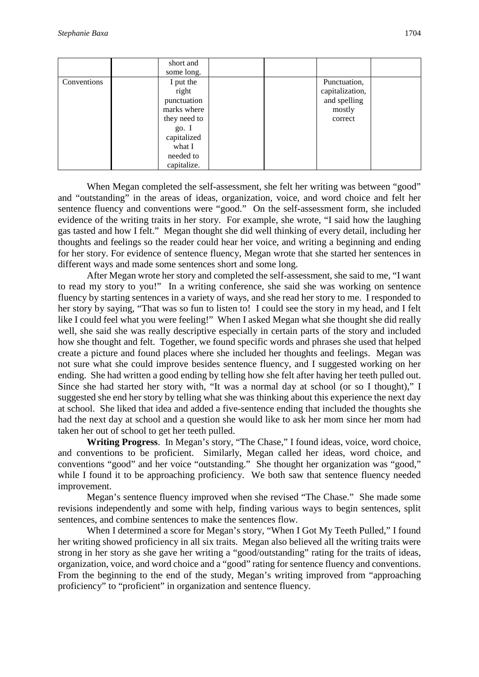|             | short and    |  |                 |  |
|-------------|--------------|--|-----------------|--|
|             | some long.   |  |                 |  |
| Conventions | I put the    |  | Punctuation,    |  |
|             | right        |  | capitalization, |  |
|             | punctuation  |  | and spelling    |  |
|             | marks where  |  | mostly          |  |
|             | they need to |  | correct         |  |
|             | go. I        |  |                 |  |
|             | capitalized  |  |                 |  |
|             | what I       |  |                 |  |
|             | needed to    |  |                 |  |
|             | capitalize.  |  |                 |  |

When Megan completed the self-assessment, she felt her writing was between "good" and "outstanding" in the areas of ideas, organization, voice, and word choice and felt her sentence fluency and conventions were "good." On the self-assessment form, she included evidence of the writing traits in her story. For example, she wrote, "I said how the laughing gas tasted and how I felt." Megan thought she did well thinking of every detail, including her thoughts and feelings so the reader could hear her voice, and writing a beginning and ending for her story. For evidence of sentence fluency, Megan wrote that she started her sentences in different ways and made some sentences short and some long.

After Megan wrote her story and completed the self-assessment, she said to me, "I want to read my story to you!" In a writing conference, she said she was working on sentence fluency by starting sentences in a variety of ways, and she read her story to me. I responded to her story by saying, "That was so fun to listen to! I could see the story in my head, and I felt like I could feel what you were feeling!" When I asked Megan what she thought she did really well, she said she was really descriptive especially in certain parts of the story and included how she thought and felt. Together, we found specific words and phrases she used that helped create a picture and found places where she included her thoughts and feelings. Megan was not sure what she could improve besides sentence fluency, and I suggested working on her ending. She had written a good ending by telling how she felt after having her teeth pulled out. Since she had started her story with, "It was a normal day at school (or so I thought)," I suggested she end her story by telling what she was thinking about this experience the next day at school. She liked that idea and added a five-sentence ending that included the thoughts she had the next day at school and a question she would like to ask her mom since her mom had taken her out of school to get her teeth pulled.

**Writing Progress**. In Megan's story, "The Chase," I found ideas, voice, word choice, and conventions to be proficient. Similarly, Megan called her ideas, word choice, and conventions "good" and her voice "outstanding." She thought her organization was "good," while I found it to be approaching proficiency. We both saw that sentence fluency needed improvement.

Megan's sentence fluency improved when she revised "The Chase." She made some revisions independently and some with help, finding various ways to begin sentences, split sentences, and combine sentences to make the sentences flow.

When I determined a score for Megan's story, "When I Got My Teeth Pulled," I found her writing showed proficiency in all six traits. Megan also believed all the writing traits were strong in her story as she gave her writing a "good/outstanding" rating for the traits of ideas, organization, voice, and word choice and a "good" rating for sentence fluency and conventions. From the beginning to the end of the study, Megan's writing improved from "approaching proficiency" to "proficient" in organization and sentence fluency.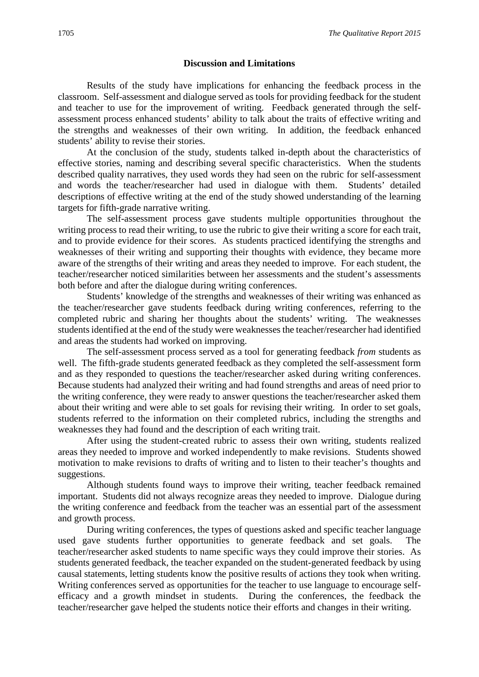#### **Discussion and Limitations**

Results of the study have implications for enhancing the feedback process in the classroom. Self-assessment and dialogue served as tools for providing feedback for the student and teacher to use for the improvement of writing. Feedback generated through the selfassessment process enhanced students' ability to talk about the traits of effective writing and the strengths and weaknesses of their own writing. In addition, the feedback enhanced students' ability to revise their stories.

At the conclusion of the study, students talked in-depth about the characteristics of effective stories, naming and describing several specific characteristics. When the students described quality narratives, they used words they had seen on the rubric for self-assessment and words the teacher/researcher had used in dialogue with them. Students' detailed descriptions of effective writing at the end of the study showed understanding of the learning targets for fifth-grade narrative writing.

The self-assessment process gave students multiple opportunities throughout the writing process to read their writing, to use the rubric to give their writing a score for each trait, and to provide evidence for their scores. As students practiced identifying the strengths and weaknesses of their writing and supporting their thoughts with evidence, they became more aware of the strengths of their writing and areas they needed to improve. For each student, the teacher/researcher noticed similarities between her assessments and the student's assessments both before and after the dialogue during writing conferences.

Students' knowledge of the strengths and weaknesses of their writing was enhanced as the teacher/researcher gave students feedback during writing conferences, referring to the completed rubric and sharing her thoughts about the students' writing. The weaknesses students identified at the end of the study were weaknesses the teacher/researcher had identified and areas the students had worked on improving.

The self-assessment process served as a tool for generating feedback *from* students as well. The fifth-grade students generated feedback as they completed the self-assessment form and as they responded to questions the teacher/researcher asked during writing conferences. Because students had analyzed their writing and had found strengths and areas of need prior to the writing conference, they were ready to answer questions the teacher/researcher asked them about their writing and were able to set goals for revising their writing. In order to set goals, students referred to the information on their completed rubrics, including the strengths and weaknesses they had found and the description of each writing trait.

After using the student-created rubric to assess their own writing, students realized areas they needed to improve and worked independently to make revisions. Students showed motivation to make revisions to drafts of writing and to listen to their teacher's thoughts and suggestions.

Although students found ways to improve their writing, teacher feedback remained important. Students did not always recognize areas they needed to improve. Dialogue during the writing conference and feedback from the teacher was an essential part of the assessment and growth process.

During writing conferences, the types of questions asked and specific teacher language used gave students further opportunities to generate feedback and set goals. The teacher/researcher asked students to name specific ways they could improve their stories. As students generated feedback, the teacher expanded on the student-generated feedback by using causal statements, letting students know the positive results of actions they took when writing. Writing conferences served as opportunities for the teacher to use language to encourage selfefficacy and a growth mindset in students. During the conferences, the feedback the teacher/researcher gave helped the students notice their efforts and changes in their writing.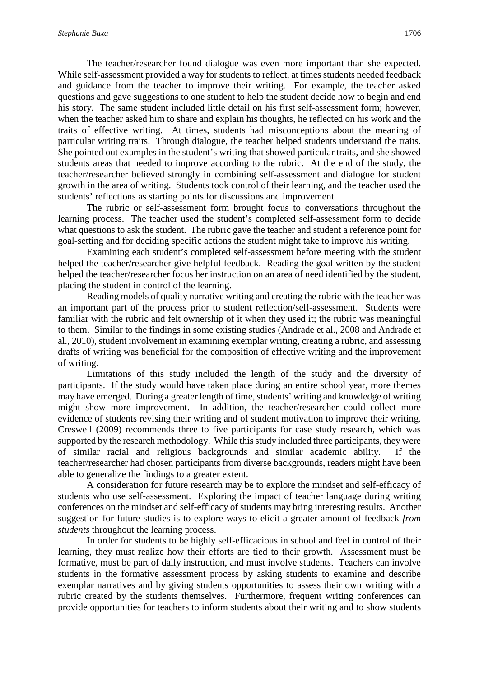The teacher/researcher found dialogue was even more important than she expected. While self-assessment provided a way for students to reflect, at times students needed feedback and guidance from the teacher to improve their writing. For example, the teacher asked questions and gave suggestions to one student to help the student decide how to begin and end his story. The same student included little detail on his first self-assessment form; however, when the teacher asked him to share and explain his thoughts, he reflected on his work and the traits of effective writing. At times, students had misconceptions about the meaning of particular writing traits. Through dialogue, the teacher helped students understand the traits. She pointed out examples in the student's writing that showed particular traits, and she showed students areas that needed to improve according to the rubric. At the end of the study, the teacher/researcher believed strongly in combining self-assessment and dialogue for student growth in the area of writing. Students took control of their learning, and the teacher used the students' reflections as starting points for discussions and improvement.

The rubric or self-assessment form brought focus to conversations throughout the learning process. The teacher used the student's completed self-assessment form to decide what questions to ask the student. The rubric gave the teacher and student a reference point for goal-setting and for deciding specific actions the student might take to improve his writing.

Examining each student's completed self-assessment before meeting with the student helped the teacher/researcher give helpful feedback. Reading the goal written by the student helped the teacher/researcher focus her instruction on an area of need identified by the student, placing the student in control of the learning.

Reading models of quality narrative writing and creating the rubric with the teacher was an important part of the process prior to student reflection/self-assessment. Students were familiar with the rubric and felt ownership of it when they used it; the rubric was meaningful to them. Similar to the findings in some existing studies (Andrade et al., 2008 and Andrade et al., 2010), student involvement in examining exemplar writing, creating a rubric, and assessing drafts of writing was beneficial for the composition of effective writing and the improvement of writing.

Limitations of this study included the length of the study and the diversity of participants. If the study would have taken place during an entire school year, more themes may have emerged. During a greater length of time, students' writing and knowledge of writing might show more improvement. In addition, the teacher/researcher could collect more evidence of students revising their writing and of student motivation to improve their writing. Creswell (2009) recommends three to five participants for case study research, which was supported by the research methodology. While this study included three participants, they were of similar racial and religious backgrounds and similar academic ability. If the teacher/researcher had chosen participants from diverse backgrounds, readers might have been able to generalize the findings to a greater extent.

A consideration for future research may be to explore the mindset and self-efficacy of students who use self-assessment. Exploring the impact of teacher language during writing conferences on the mindset and self-efficacy of students may bring interesting results. Another suggestion for future studies is to explore ways to elicit a greater amount of feedback *from students* throughout the learning process.

In order for students to be highly self-efficacious in school and feel in control of their learning, they must realize how their efforts are tied to their growth. Assessment must be formative, must be part of daily instruction, and must involve students. Teachers can involve students in the formative assessment process by asking students to examine and describe exemplar narratives and by giving students opportunities to assess their own writing with a rubric created by the students themselves. Furthermore, frequent writing conferences can provide opportunities for teachers to inform students about their writing and to show students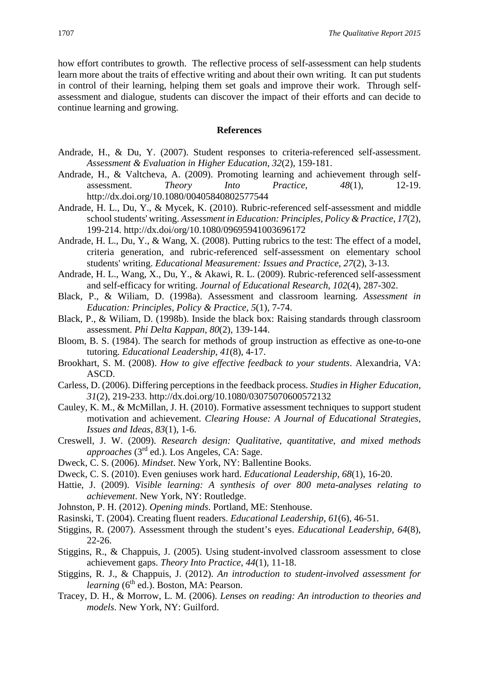how effort contributes to growth. The reflective process of self-assessment can help students learn more about the traits of effective writing and about their own writing. It can put students in control of their learning, helping them set goals and improve their work. Through selfassessment and dialogue, students can discover the impact of their efforts and can decide to continue learning and growing.

#### **References**

- Andrade, H., & Du, Y. (2007). Student responses to criteria-referenced self-assessment. *Assessment & Evaluation in Higher Education*, *32*(2), 159-181.
- Andrade, H., & Valtcheva, A. (2009). Promoting learning and achievement through selfassessment. *Theory Into Practice*, *48*(1), 12-19. http://dx.doi.org/10.1080/00405840802577544
- Andrade, H. L., Du, Y., & Mycek, K. (2010). Rubric-referenced self-assessment and middle school students' writing. *Assessment in Education: Principles, Policy & Practice*, *17*(2), 199-214. http://dx.doi/org/10.1080/09695941003696172
- Andrade, H. L., Du, Y., & Wang, X. (2008). Putting rubrics to the test: The effect of a model, criteria generation, and rubric-referenced self-assessment on elementary school students' writing. *Educational Measurement: Issues and Practice*, *27*(2), 3-13.
- Andrade, H. L., Wang, X., Du, Y., & Akawi, R. L. (2009). Rubric-referenced self-assessment and self-efficacy for writing. *Journal of Educational Research*, *102*(4), 287-302.
- Black, P., & Wiliam, D. (1998a). Assessment and classroom learning. *Assessment in Education: Principles, Policy & Practice, 5*(1), 7-74.
- Black, P., & Wiliam, D. (1998b). Inside the black box: Raising standards through classroom assessment. *Phi Delta Kappan*, *80*(2), 139-144.
- Bloom, B. S. (1984). The search for methods of group instruction as effective as one-to-one tutoring. *Educational Leadership*, *41*(8), 4-17.
- Brookhart, S. M. (2008). *How to give effective feedback to your students*. Alexandria, VA: ASCD.
- Carless, D. (2006). Differing perceptions in the feedback process. *Studies in Higher Education*, *31*(2), 219-233. http://dx.doi.org/10.1080/03075070600572132
- Cauley, K. M., & McMillan, J. H. (2010). Formative assessment techniques to support student motivation and achievement. *Clearing House: A Journal of Educational Strategies, Issues and Ideas*, *83*(1), 1-6.
- Creswell, J. W. (2009). *Research design: Qualitative, quantitative, and mixed methods approaches* (3rd ed.). Los Angeles, CA: Sage.
- Dweck, C. S. (2006). *Mindset*. New York, NY: Ballentine Books.
- Dweck, C. S. (2010). Even geniuses work hard. *Educational Leadership*, *68*(1), 16-20.
- Hattie, J. (2009). *Visible learning: A synthesis of over 800 meta-analyses relating to achievement*. New York, NY: Routledge.
- Johnston, P. H. (2012). *Opening minds*. Portland, ME: Stenhouse.
- Rasinski, T. (2004). Creating fluent readers. *Educational Leadership*, *61*(6), 46-51.
- Stiggins, R. (2007). Assessment through the student's eyes. *Educational Leadership, 64*(8), 22-26.
- Stiggins, R., & Chappuis, J. (2005). Using student-involved classroom assessment to close achievement gaps. *Theory Into Practice*, *44*(1), 11-18.
- Stiggins, R. J., & Chappuis, J. (2012). *An introduction to student-involved assessment for learning* (6<sup>th</sup> ed.). Boston, MA: Pearson.
- Tracey, D. H., & Morrow, L. M. (2006). *Lenses on reading: An introduction to theories and models*. New York, NY: Guilford.